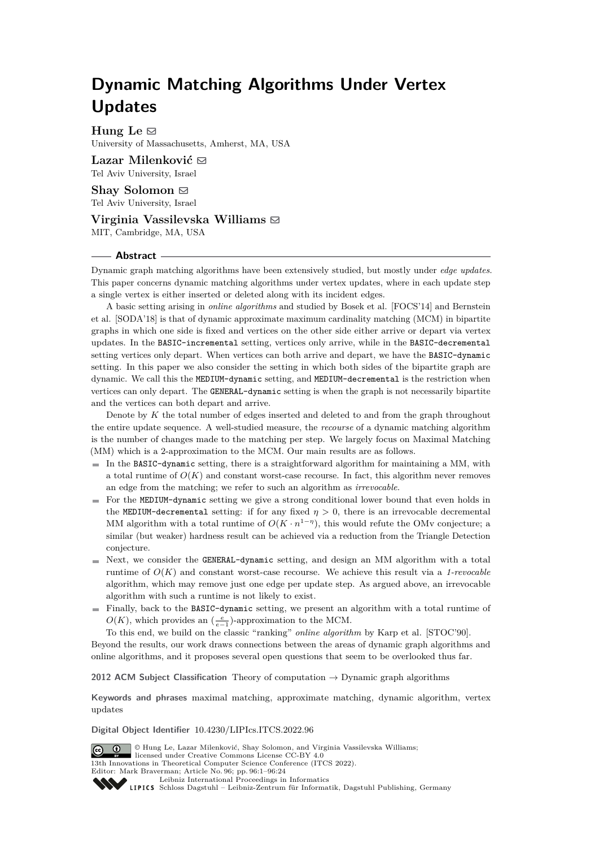# **Dynamic Matching Algorithms Under Vertex Updates**

 $H$ ung Le  $\boxtimes$ University of Massachusetts, Amherst, MA, USA

**Lazar Milenković** ⊠ Tel Aviv University, Israel

**Shay Solomon** ⊠ Tel Aviv University, Israel

**Virginia Vassilevska Williams** ⊠ MIT, Cambridge, MA, USA

### **Abstract**

Dynamic graph matching algorithms have been extensively studied, but mostly under *edge updates*. This paper concerns dynamic matching algorithms under vertex updates, where in each update step a single vertex is either inserted or deleted along with its incident edges.

A basic setting arising in *online algorithms* and studied by Bosek et al. [FOCS'14] and Bernstein et al. [SODA'18] is that of dynamic approximate maximum cardinality matching (MCM) in bipartite graphs in which one side is fixed and vertices on the other side either arrive or depart via vertex updates. In the BASIC-incremental setting, vertices only arrive, while in the BASIC-decremental setting vertices only depart. When vertices can both arrive and depart, we have the BASIC-dynamic setting. In this paper we also consider the setting in which both sides of the bipartite graph are dynamic. We call this the MEDIUM-dynamic setting, and MEDIUM-decremental is the restriction when vertices can only depart. The GENERAL-dynamic setting is when the graph is not necessarily bipartite and the vertices can both depart and arrive.

Denote by *K* the total number of edges inserted and deleted to and from the graph throughout the entire update sequence. A well-studied measure, the *recourse* of a dynamic matching algorithm is the number of changes made to the matching per step. We largely focus on Maximal Matching (MM) which is a 2-approximation to the MCM. Our main results are as follows.

- $\blacksquare$  In the BASIC-dynamic setting, there is a straightforward algorithm for maintaining a MM, with a total runtime of  $O(K)$  and constant worst-case recourse. In fact, this algorithm never removes an edge from the matching; we refer to such an algorithm as *irrevocable*.
- For the MEDIUM-dynamic setting we give a strong conditional lower bound that even holds in the MEDIUM-decremental setting: if for any fixed  $\eta > 0$ , there is an irrevocable decremental MM algorithm with a total runtime of  $O(K \cdot n^{1-\eta})$ , this would refute the OMv conjecture; a similar (but weaker) hardness result can be achieved via a reduction from the Triangle Detection conjecture.
- $\blacksquare$  Next, we consider the GENERAL-dynamic setting, and design an MM algorithm with a total runtime of *O*(*K*) and constant worst-case recourse. We achieve this result via a *1-revocable* algorithm, which may remove just one edge per update step. As argued above, an irrevocable algorithm with such a runtime is not likely to exist.
- Finally, back to the BASIC-dynamic setting, we present an algorithm with a total runtime of  $O(K)$ , which provides an  $\left(\frac{e}{e-1}\right)$ -approximation to the MCM.

To this end, we build on the classic "ranking" *online algorithm* by Karp et al. [STOC'90].

Beyond the results, our work draws connections between the areas of dynamic graph algorithms and online algorithms, and it proposes several open questions that seem to be overlooked thus far.

**2012 ACM Subject Classification** Theory of computation → Dynamic graph algorithms

**Keywords and phrases** maximal matching, approximate matching, dynamic algorithm, vertex updates

#### **Digital Object Identifier** [10.4230/LIPIcs.ITCS.2022.96](https://doi.org/10.4230/LIPIcs.ITCS.2022.96)

© Hung Le, Lazar Milenković, Shay Solomon, and Virginia Vassilevska Williams;  $\boxed{6}$  0 licensed under Creative Commons License CC-BY 4.0 13th Innovations in Theoretical Computer Science Conference (ITCS 2022). Editor: Mark Braverman; Article No. 96; pp. 96:1–96:24 [Leibniz International Proceedings in Informatics](https://www.dagstuhl.de/lipics/) [Schloss Dagstuhl – Leibniz-Zentrum für Informatik, Dagstuhl Publishing, Germany](https://www.dagstuhl.de)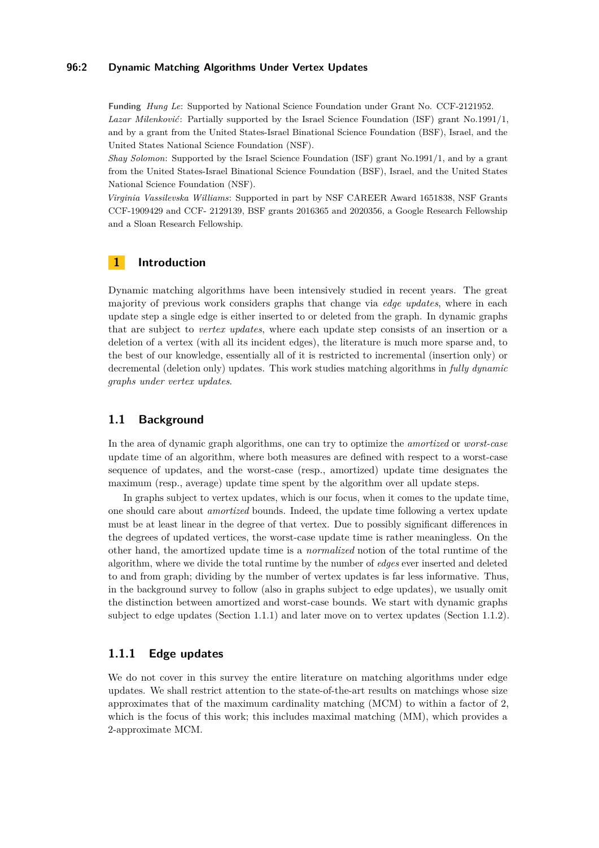### **96:2 Dynamic Matching Algorithms Under Vertex Updates**

**Funding** *Hung Le*: Supported by National Science Foundation under Grant No. CCF-2121952. *Lazar Milenković*: Partially supported by the Israel Science Foundation (ISF) grant No.1991/1, and by a grant from the United States-Israel Binational Science Foundation (BSF), Israel, and the United States National Science Foundation (NSF).

*Shay Solomon*: Supported by the Israel Science Foundation (ISF) grant No.1991/1, and by a grant from the United States-Israel Binational Science Foundation (BSF), Israel, and the United States National Science Foundation (NSF).

*Virginia Vassilevska Williams*: Supported in part by NSF CAREER Award 1651838, NSF Grants CCF-1909429 and CCF- 2129139, BSF grants 2016365 and 2020356, a Google Research Fellowship and a Sloan Research Fellowship.

## **1 Introduction**

Dynamic matching algorithms have been intensively studied in recent years. The great majority of previous work considers graphs that change via *edge updates*, where in each update step a single edge is either inserted to or deleted from the graph. In dynamic graphs that are subject to *vertex updates*, where each update step consists of an insertion or a deletion of a vertex (with all its incident edges), the literature is much more sparse and, to the best of our knowledge, essentially all of it is restricted to incremental (insertion only) or decremental (deletion only) updates. This work studies matching algorithms in *fully dynamic graphs under vertex updates*.

### **1.1 Background**

In the area of dynamic graph algorithms, one can try to optimize the *amortized* or *worst-case* update time of an algorithm, where both measures are defined with respect to a worst-case sequence of updates, and the worst-case (resp., amortized) update time designates the maximum (resp., average) update time spent by the algorithm over all update steps.

In graphs subject to vertex updates, which is our focus, when it comes to the update time, one should care about *amortized* bounds. Indeed, the update time following a vertex update must be at least linear in the degree of that vertex. Due to possibly significant differences in the degrees of updated vertices, the worst-case update time is rather meaningless. On the other hand, the amortized update time is a *normalized* notion of the total runtime of the algorithm, where we divide the total runtime by the number of *edges* ever inserted and deleted to and from graph; dividing by the number of vertex updates is far less informative. Thus, in the background survey to follow (also in graphs subject to edge updates), we usually omit the distinction between amortized and worst-case bounds. We start with dynamic graphs subject to edge updates (Section [1.1.1\)](#page-1-0) and later move on to vertex updates (Section [1.1.2\)](#page-3-0).

### <span id="page-1-0"></span>**1.1.1 Edge updates**

We do not cover in this survey the entire literature on matching algorithms under edge updates. We shall restrict attention to the state-of-the-art results on matchings whose size approximates that of the maximum cardinality matching (MCM) to within a factor of 2, which is the focus of this work; this includes maximal matching (MM), which provides a 2-approximate MCM.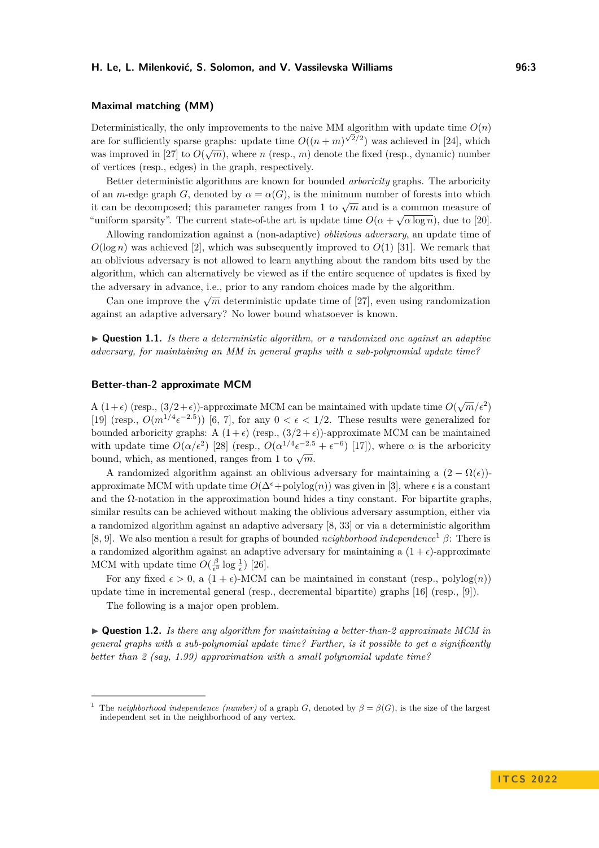### **Maximal matching (MM)**

Deterministically, the only improvements to the naive MM algorithm with update time  $O(n)$ Let the sufficiently sparse graphs: update time  $O((n+m)^{\sqrt{2}/2})$  was achieved in [\[24\]](#page-22-0), which was improved in [\[27\]](#page-23-0) to  $O(\sqrt{m})$ , where *n* (resp., *m*) denote the fixed (resp., dynamic) number was improved in [27] to  $O(\sqrt{m})$ , where *n* (resp., *m*) denote the fixed (resp., dynamic) number of vertices (resp., edges) in the graph, respectively.

Better deterministic algorithms are known for bounded *arboricity* graphs. The arboricity of an *m*-edge graph *G*, denoted by  $\alpha = \alpha(G)$ , is the minimum number of forests into which it can be decomposed; this parameter ranges from 1 to  $\sqrt{m}$  and is a common measure of "uniform sparsity". The current state-of-the art is update time  $O(\alpha + \sqrt{\alpha \log n})$ , due to [\[20\]](#page-22-1).

Allowing randomization against a (non-adaptive) *oblivious adversary*, an update time of  $O(\log n)$  was achieved [\[2\]](#page-21-0), which was subsequently improved to  $O(1)$  [\[31\]](#page-23-1). We remark that an oblivious adversary is not allowed to learn anything about the random bits used by the algorithm, which can alternatively be viewed as if the entire sequence of updates is fixed by the adversary in advance, i.e., prior to any random choices made by the algorithm.

Can one improve the  $\sqrt{m}$  deterministic update time of [\[27\]](#page-23-0), even using randomization against an adaptive adversary? No lower bound whatsoever is known.

<span id="page-2-1"></span>▶ **Question 1.1.** *Is there a deterministic algorithm, or a randomized one against an adaptive adversary, for maintaining an MM in general graphs with a sub-polynomial update time?*

#### **Better-than-2 approximate MCM**

A  $(1+\epsilon)$  (resp.,  $(3/2+\epsilon)$ )-approximate MCM can be maintained with update time  $O(\sqrt{m}/\epsilon^2)$ [\[19\]](#page-22-2) (resp.,  $O(m^{1/4} \epsilon^{-2.5})$ ) [\[6,](#page-21-1) [7\]](#page-21-2), for any  $0 < \epsilon < 1/2$ . These results were generalized for bounded arboricity graphs: A  $(1 + \epsilon)$  (resp.,  $(3/2 + \epsilon)$ )-approximate MCM can be maintained with update time  $O(\alpha/\epsilon^2)$  [\[28\]](#page-23-2) (resp.,  $O(\alpha^{1/4} \epsilon^{-2.5} + \epsilon^{-6})$  [\[17\]](#page-22-3)), where  $\alpha$  is the arboricity bound, which, as mentioned, ranges from 1 to  $\sqrt{m}$ .

A randomized algorithm against an oblivious adversary for maintaining a  $(2 - \Omega(\epsilon))$ approximate MCM with update time  $O(\Delta^{\epsilon}+polylog(n))$  was given in [\[3\]](#page-21-3), where  $\epsilon$  is a constant and the  $\Omega$ -notation in the approximation bound hides a tiny constant. For bipartite graphs, similar results can be achieved without making the oblivious adversary assumption, either via a randomized algorithm against an adaptive adversary [\[8,](#page-22-4) [33\]](#page-23-3) or via a deterministic algorithm [\[8,](#page-22-4) [9\]](#page-22-5). We also mention a result for graphs of bounded *neighborhood independence*[1](#page-2-0) *β*: There is a randomized algorithm against an adaptive adversary for maintaining a  $(1 + \epsilon)$ -approximate MCM with update time  $O(\frac{\beta}{\epsilon^3} \log \frac{1}{\epsilon})$  [\[26\]](#page-22-6).

For any fixed  $\epsilon > 0$ , a  $(1 + \epsilon)$ -MCM can be maintained in constant (resp., polylog(*n*)) update time in incremental general (resp., decremental bipartite) graphs [\[16\]](#page-22-7) (resp., [\[9\]](#page-22-5)).

The following is a major open problem.

<span id="page-2-2"></span>▶ **Question 1.2.** *Is there any algorithm for maintaining a better-than-2 approximate MCM in general graphs with a sub-polynomial update time? Further, is it possible to get a significantly better than 2 (say, 1.99) approximation with a small polynomial update time?*

<span id="page-2-0"></span>The *neighborhood independence (number)* of a graph *G*, denoted by  $\beta = \beta(G)$ , is the size of the largest independent set in the neighborhood of any vertex.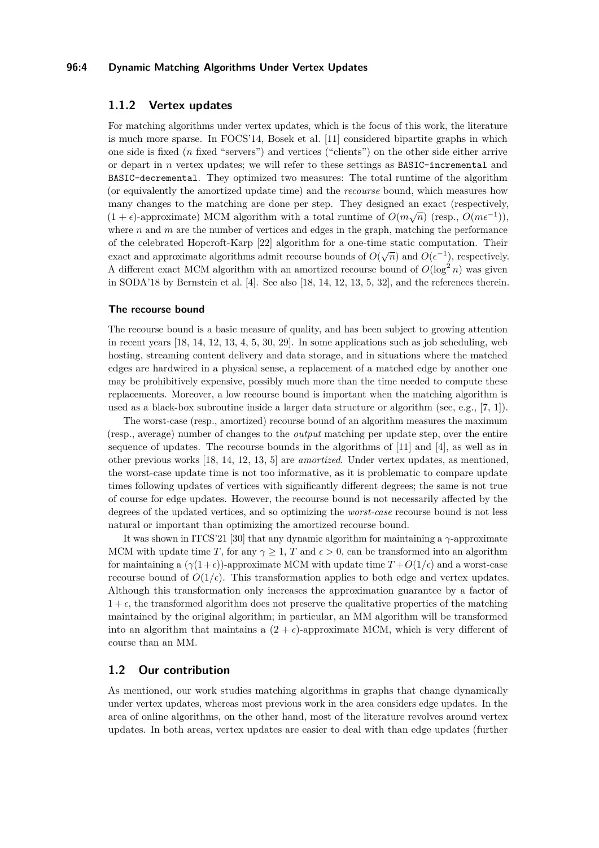### **96:4 Dynamic Matching Algorithms Under Vertex Updates**

### <span id="page-3-0"></span>**1.1.2 Vertex updates**

For matching algorithms under vertex updates, which is the focus of this work, the literature is much more sparse. In FOCS'14, Bosek et al. [\[11\]](#page-22-8) considered bipartite graphs in which one side is fixed (*n* fixed "servers") and vertices ("clients") on the other side either arrive or depart in *n* vertex updates; we will refer to these settings as BASIC-incremental and BASIC-decremental. They optimized two measures: The total runtime of the algorithm (or equivalently the amortized update time) and the *recourse* bound, which measures how many changes to the matching are done per step. They designed an exact (respectively,  $(1, \ldots)$ ,  $(3, \ldots)$ ,  $(3, \ldots)$ ,  $(3, \ldots)$ ,  $(3, \ldots)$ ,  $(3, \ldots)$ ,  $(3, \ldots)$ ,  $(3, \ldots)$ ,  $(3, \ldots)$ ,  $(3, \ldots)$ ,  $(3, \ldots)$ ,  $(3, \ldots)$ ,  $(3$  $(1 + \epsilon)$ -approximate) MCM algorithm with a total runtime of  $O(m\sqrt{n})$  (resp.,  $O(m\epsilon^{-1})$ ), where  $n$  and  $m$  are the number of vertices and edges in the graph, matching the performance of the celebrated Hopcroft-Karp [\[22\]](#page-22-9) algorithm for a one-time static computation. Their exact and approximate algorithms admit recourse bounds of  $O(\sqrt{n})$  and  $O(\epsilon^{-1})$ , respectively. A different exact MCM algorithm with an amortized recourse bound of  $O(\log^2 n)$  was given in SODA'18 by Bernstein et al. [\[4\]](#page-21-4). See also [\[18,](#page-22-10) [14,](#page-22-11) [12,](#page-22-12) [13,](#page-22-13) [5,](#page-21-5) [32\]](#page-23-4), and the references therein.

### **The recourse bound**

The recourse bound is a basic measure of quality, and has been subject to growing attention in recent years [\[18,](#page-22-10) [14,](#page-22-11) [12,](#page-22-12) [13,](#page-22-13) [4,](#page-21-4) [5,](#page-21-5) [30,](#page-23-5) [29\]](#page-23-6). In some applications such as job scheduling, web hosting, streaming content delivery and data storage, and in situations where the matched edges are hardwired in a physical sense, a replacement of a matched edge by another one may be prohibitively expensive, possibly much more than the time needed to compute these replacements. Moreover, a low recourse bound is important when the matching algorithm is used as a black-box subroutine inside a larger data structure or algorithm (see, e.g., [\[7,](#page-21-2) [1\]](#page-21-6)).

The worst-case (resp., amortized) recourse bound of an algorithm measures the maximum (resp., average) number of changes to the *output* matching per update step, over the entire sequence of updates. The recourse bounds in the algorithms of [\[11\]](#page-22-8) and [\[4\]](#page-21-4), as well as in other previous works [\[18,](#page-22-10) [14,](#page-22-11) [12,](#page-22-12) [13,](#page-22-13) [5\]](#page-21-5) are *amortized*. Under vertex updates, as mentioned, the worst-case update time is not too informative, as it is problematic to compare update times following updates of vertices with significantly different degrees; the same is not true of course for edge updates. However, the recourse bound is not necessarily affected by the degrees of the updated vertices, and so optimizing the *worst-case* recourse bound is not less natural or important than optimizing the amortized recourse bound.

It was shown in ITCS'21 [\[30\]](#page-23-5) that any dynamic algorithm for maintaining a *γ*-approximate MCM with update time *T*, for any  $\gamma \geq 1$ , *T* and  $\epsilon > 0$ , can be transformed into an algorithm for maintaining a  $(\gamma(1+\epsilon))$ -approximate MCM with update time  $T+O(1/\epsilon)$  and a worst-case recourse bound of  $O(1/\epsilon)$ . This transformation applies to both edge and vertex updates. Although this transformation only increases the approximation guarantee by a factor of  $1 + \epsilon$ , the transformed algorithm does not preserve the qualitative properties of the matching maintained by the original algorithm; in particular, an MM algorithm will be transformed into an algorithm that maintains a  $(2 + \epsilon)$ -approximate MCM, which is very different of course than an MM.

### **1.2 Our contribution**

As mentioned, our work studies matching algorithms in graphs that change dynamically under vertex updates, whereas most previous work in the area considers edge updates. In the area of online algorithms, on the other hand, most of the literature revolves around vertex updates. In both areas, vertex updates are easier to deal with than edge updates (further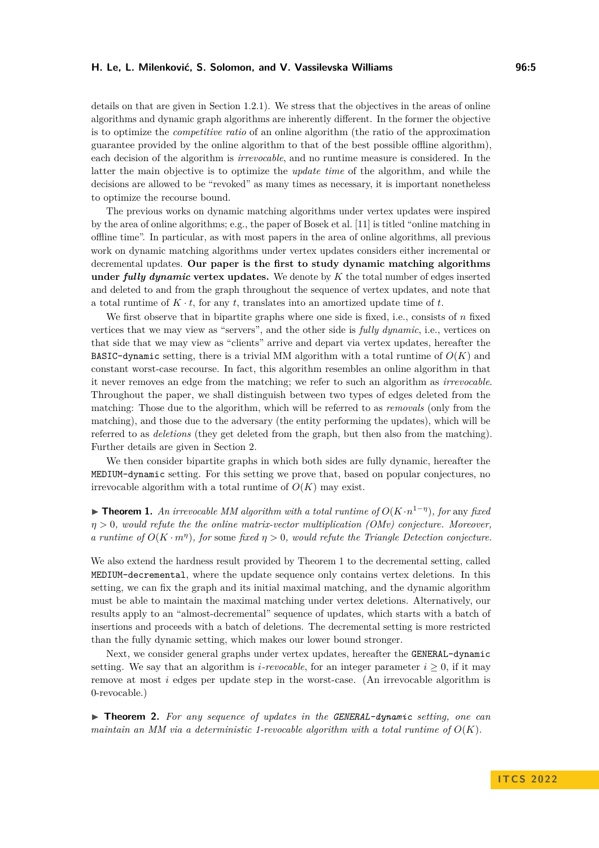details on that are given in Section [1.2.1\)](#page-5-0). We stress that the objectives in the areas of online algorithms and dynamic graph algorithms are inherently different. In the former the objective is to optimize the *competitive ratio* of an online algorithm (the ratio of the approximation guarantee provided by the online algorithm to that of the best possible offline algorithm), each decision of the algorithm is *irrevocable*, and no runtime measure is considered. In the latter the main objective is to optimize the *update time* of the algorithm, and while the decisions are allowed to be "revoked" as many times as necessary, it is important nonetheless to optimize the recourse bound.

The previous works on dynamic matching algorithms under vertex updates were inspired by the area of online algorithms; e.g., the paper of Bosek et al. [\[11\]](#page-22-8) is titled "online matching in offline time". In particular, as with most papers in the area of online algorithms, all previous work on dynamic matching algorithms under vertex updates considers either incremental or decremental updates. **Our paper is the first to study dynamic matching algorithms under** *fully dynamic* **vertex updates.** We denote by *K* the total number of edges inserted and deleted to and from the graph throughout the sequence of vertex updates, and note that a total runtime of  $K \cdot t$ , for any  $t$ , translates into an amortized update time of  $t$ .

We first observe that in bipartite graphs where one side is fixed, i.e., consists of *n* fixed vertices that we may view as "servers", and the other side is *fully dynamic*, i.e., vertices on that side that we may view as "clients" arrive and depart via vertex updates, hereafter the BASIC-dynamic setting, there is a trivial MM algorithm with a total runtime of  $O(K)$  and constant worst-case recourse. In fact, this algorithm resembles an online algorithm in that it never removes an edge from the matching; we refer to such an algorithm as *irrevocable*. Throughout the paper, we shall distinguish between two types of edges deleted from the matching: Those due to the algorithm, which will be referred to as *removals* (only from the matching), and those due to the adversary (the entity performing the updates), which will be referred to as *deletions* (they get deleted from the graph, but then also from the matching). Further details are given in Section [2.](#page-6-0)

We then consider bipartite graphs in which both sides are fully dynamic, hereafter the MEDIUM-dynamic setting. For this setting we prove that, based on popular conjectures, no irrevocable algorithm with a total runtime of  $O(K)$  may exist.

<span id="page-4-0"></span>▶ **Theorem 1.** An irrevocable MM algorithm with a total runtime of  $O(K \cdot n^{1-\eta})$ , for any fixed *η >* 0*, would refute the the online matrix-vector multiplication (OMv) conjecture. Moreover, a runtime of*  $O(K \cdot m^{\eta})$ , for some fixed  $\eta > 0$ , would refute the Triangle Detection conjecture.

We also extend the hardness result provided by Theorem [1](#page-4-0) to the decremental setting, called MEDIUM-decremental, where the update sequence only contains vertex deletions. In this setting, we can fix the graph and its initial maximal matching, and the dynamic algorithm must be able to maintain the maximal matching under vertex deletions. Alternatively, our results apply to an "almost-decremental" sequence of updates, which starts with a batch of insertions and proceeds with a batch of deletions. The decremental setting is more restricted than the fully dynamic setting, which makes our lower bound stronger.

Next, we consider general graphs under vertex updates, hereafter the GENERAL-dynamic setting. We say that an algorithm is *i*-revocable, for an integer parameter  $i \geq 0$ , if it may remove at most *i* edges per update step in the worst-case. (An irrevocable algorithm is 0-revocable.)

<span id="page-4-1"></span>▶ **Theorem 2.** *For any sequence of updates in the GENERAL-dynamic setting, one can maintain an MM via a deterministic 1-revocable algorithm with a total runtime of*  $O(K)$ .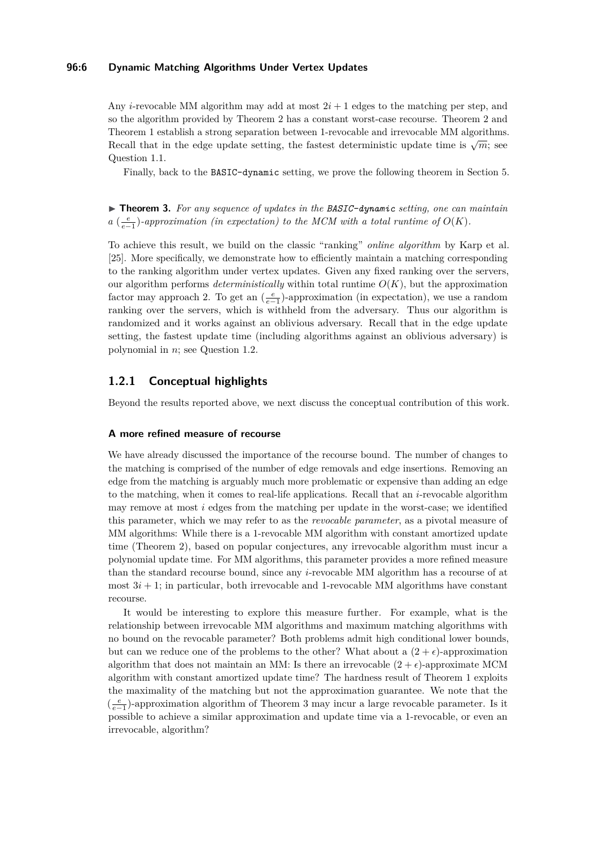### **96:6 Dynamic Matching Algorithms Under Vertex Updates**

Any *i*-revocable MM algorithm may add at most  $2i + 1$  edges to the matching per step, and so the algorithm provided by Theorem [2](#page-4-1) has a constant worst-case recourse. Theorem [2](#page-4-1) and Theorem [1](#page-4-0) establish a strong separation between 1-revocable and irrevocable MM algorithms. Recall that in the edge update setting, the fastest deterministic update time is  $\sqrt{m}$ ; see Question [1.1.](#page-2-1)

Finally, back to the BASIC-dynamic setting, we prove the following theorem in Section [5.](#page-19-0)

<span id="page-5-1"></span>▶ **Theorem 3.** *For any sequence of updates in the BASIC-dynamic setting, one can maintain a*  $\left(\frac{e}{e-1}\right)$ -approximation (in expectation) to the MCM with a total runtime of  $O(K)$ .

To achieve this result, we build on the classic "ranking" *online algorithm* by Karp et al. [\[25\]](#page-22-14). More specifically, we demonstrate how to efficiently maintain a matching corresponding to the ranking algorithm under vertex updates. Given any fixed ranking over the servers, our algorithm performs *deterministically* within total runtime  $O(K)$ , but the approximation factor may approach 2. To get an  $(\frac{e}{e-1})$ -approximation (in expectation), we use a random ranking over the servers, which is withheld from the adversary. Thus our algorithm is randomized and it works against an oblivious adversary. Recall that in the edge update setting, the fastest update time (including algorithms against an oblivious adversary) is polynomial in *n*; see Question [1.2.](#page-2-2)

### <span id="page-5-0"></span>**1.2.1 Conceptual highlights**

Beyond the results reported above, we next discuss the conceptual contribution of this work.

### **A more refined measure of recourse**

We have already discussed the importance of the recourse bound. The number of changes to the matching is comprised of the number of edge removals and edge insertions. Removing an edge from the matching is arguably much more problematic or expensive than adding an edge to the matching, when it comes to real-life applications. Recall that an *i*-revocable algorithm may remove at most *i* edges from the matching per update in the worst-case; we identified this parameter, which we may refer to as the *revocable parameter*, as a pivotal measure of MM algorithms: While there is a 1-revocable MM algorithm with constant amortized update time (Theorem [2\)](#page-4-1), based on popular conjectures, any irrevocable algorithm must incur a polynomial update time. For MM algorithms, this parameter provides a more refined measure than the standard recourse bound, since any *i*-revocable MM algorithm has a recourse of at most  $3i + 1$ ; in particular, both irrevocable and 1-revocable MM algorithms have constant recourse.

It would be interesting to explore this measure further. For example, what is the relationship between irrevocable MM algorithms and maximum matching algorithms with no bound on the revocable parameter? Both problems admit high conditional lower bounds, but can we reduce one of the problems to the other? What about a  $(2 + \epsilon)$ -approximation algorithm that does not maintain an MM: Is there an irrevocable  $(2 + \epsilon)$ -approximate MCM algorithm with constant amortized update time? The hardness result of Theorem [1](#page-4-0) exploits the maximality of the matching but not the approximation guarantee. We note that the  $(\frac{e}{e-1})$ -approximation algorithm of Theorem [3](#page-5-1) may incur a large revocable parameter. Is it possible to achieve a similar approximation and update time via a 1-revocable, or even an irrevocable, algorithm?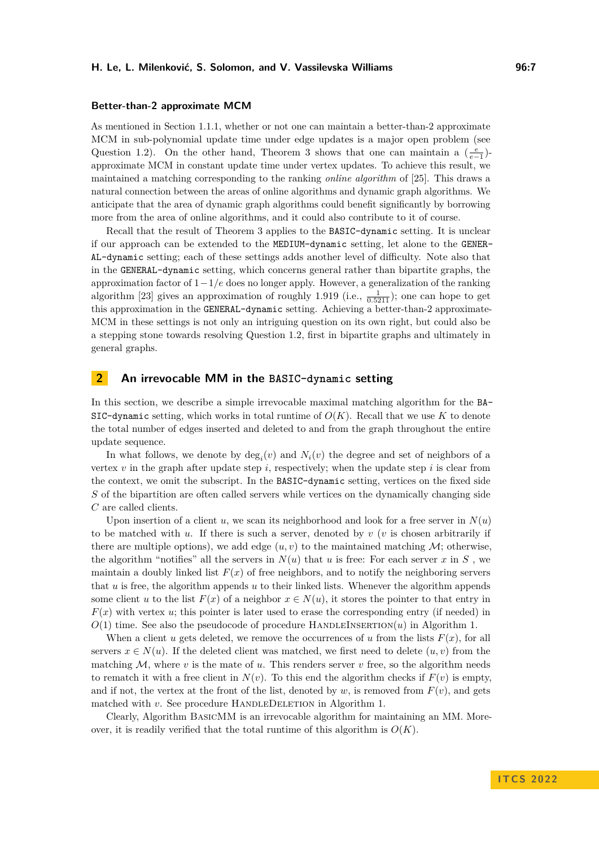#### **Better-than-2 approximate MCM**

As mentioned in Section [1.1.1,](#page-1-0) whether or not one can maintain a better-than-2 approximate MCM in sub-polynomial update time under edge updates is a major open problem (see Question [1.2\)](#page-2-2). On the other hand, Theorem [3](#page-5-1) shows that one can maintain a  $(\frac{e}{e-1})$ approximate MCM in constant update time under vertex updates. To achieve this result, we maintained a matching corresponding to the ranking *online algorithm* of [\[25\]](#page-22-14). This draws a natural connection between the areas of online algorithms and dynamic graph algorithms. We anticipate that the area of dynamic graph algorithms could benefit significantly by borrowing more from the area of online algorithms, and it could also contribute to it of course.

Recall that the result of Theorem [3](#page-5-1) applies to the BASIC-dynamic setting. It is unclear if our approach can be extended to the MEDIUM-dynamic setting, let alone to the GENER-AL-dynamic setting; each of these settings adds another level of difficulty. Note also that in the GENERAL-dynamic setting, which concerns general rather than bipartite graphs, the approximation factor of 1−1*/e* does no longer apply. However, a generalization of the ranking algorithm [\[23\]](#page-22-15) gives an approximation of roughly 1.919 (i.e.,  $\frac{1}{0.5211}$ ); one can hope to get this approximation in the GENERAL-dynamic setting. Achieving a better-than-2 approximate-MCM in these settings is not only an intriguing question on its own right, but could also be a stepping stone towards resolving Question [1.2,](#page-2-2) first in bipartite graphs and ultimately in general graphs.

### <span id="page-6-0"></span>**2 An irrevocable MM in the BASIC-dynamic setting**

In this section, we describe a simple irrevocable maximal matching algorithm for the BA-SIC-dynamic setting, which works in total runtime of  $O(K)$ . Recall that we use K to denote the total number of edges inserted and deleted to and from the graph throughout the entire update sequence.

In what follows, we denote by  $deg_i(v)$  and  $N_i(v)$  the degree and set of neighbors of a vertex  $v$  in the graph after update step  $i$ , respectively; when the update step  $i$  is clear from the context, we omit the subscript. In the BASIC-dynamic setting, vertices on the fixed side *S* of the bipartition are often called servers while vertices on the dynamically changing side *C* are called clients.

Upon insertion of a client  $u$ , we scan its neighborhood and look for a free server in  $N(u)$ to be matched with *u*. If there is such a server, denoted by *v* (*v* is chosen arbitrarily if there are multiple options), we add edge  $(u, v)$  to the maintained matching  $\mathcal{M}$ ; otherwise, the algorithm "notifies" all the servers in  $N(u)$  that  $u$  is free: For each server  $x$  in  $S$ , we maintain a doubly linked list  $F(x)$  of free neighbors, and to notify the neighboring servers that *u* is free, the algorithm appends *u* to their linked lists. Whenever the algorithm appends some client *u* to the list  $F(x)$  of a neighbor  $x \in N(u)$ , it stores the pointer to that entry in  $F(x)$  with vertex *u*; this pointer is later used to erase the corresponding entry (if needed) in  $O(1)$  time. See also the pseudocode of procedure HANDLEINSERTION $(u)$  in Algorithm [1.](#page-7-0)

When a client *u* gets deleted, we remove the occurrences of *u* from the lists  $F(x)$ , for all servers  $x \in N(u)$ . If the deleted client was matched, we first need to delete  $(u, v)$  from the matching  $M$ , where  $v$  is the mate of  $u$ . This renders server  $v$  free, so the algorithm needs to rematch it with a free client in  $N(v)$ . To this end the algorithm checks if  $F(v)$  is empty, and if not, the vertex at the front of the list, denoted by  $w$ , is removed from  $F(v)$ , and gets matched with *v*. See procedure HANDLEDELETION in Algorithm [1.](#page-7-0)

Clearly, Algorithm BasicMM is an irrevocable algorithm for maintaining an MM. Moreover, it is readily verified that the total runtime of this algorithm is  $O(K)$ .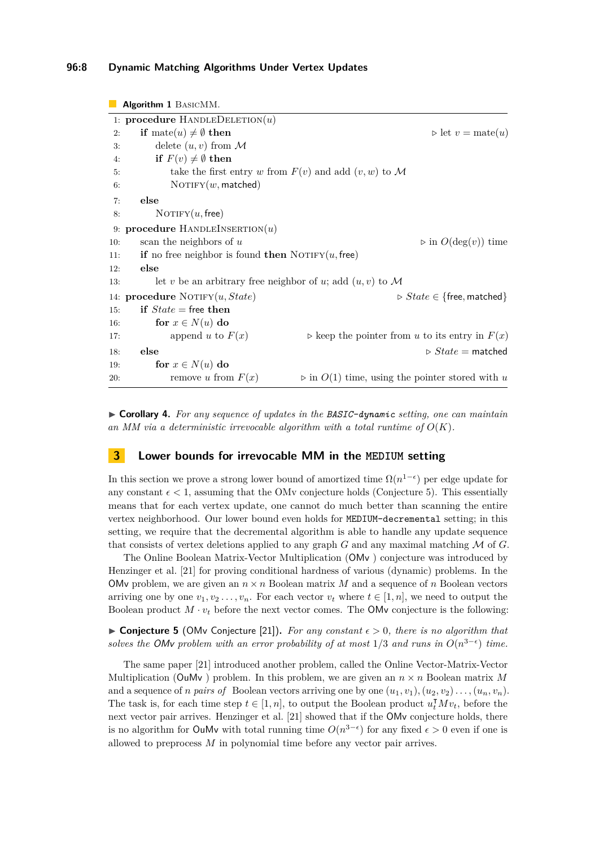### **96:8 Dynamic Matching Algorithms Under Vertex Updates**

```
Algorithm 1 BasicMM.
1: procedure HANDLEDELETION(u)2: if mate(u) \neq \emptyset then \triangleright let v = \text{mate}(u)3: delete (u, v) from \mathcal M4: if F(v) \neq \emptyset then
5: take the first entry w from F(v) and add (v, w) to M
6: NOTIFY(w, matched)
7: else
8: NOTIFY(u, free)
9: procedure HandleInsertion(u)
10: scan the neighbors of u \rho in O(\deg(v)) time
11: if no free neighbor is found then NOTIFY(u, free)
12: else
13: let v be an arbitrary free neighbor of u; add (u, v) to M
14: procedure Notify(u, State) ▷ State ∈ {free, matched}
15: if State = free then
16: for x \in N(u) do
17: append u to F(x) > keep the pointer from u to its entry in F(x)18: else ▷ State = matched
19: for x \in N(u) do
20: remove u from F(x) \triangleright in O(1) time, using the pointer stored with u
```
▶ **Corollary 4.** *For any sequence of updates in the BASIC-dynamic setting, one can maintain* an MM via a deterministic irrevocable algorithm with a total runtime of  $O(K)$ .

### **3 Lower bounds for irrevocable MM in the MEDIUM setting**

In this section we prove a strong lower bound of amortized time  $\Omega(n^{1-\epsilon})$  per edge update for any constant  $\epsilon < 1$ , assuming that the OMv conjecture holds (Conjecture [5\)](#page-7-1). This essentially means that for each vertex update, one cannot do much better than scanning the entire vertex neighborhood. Our lower bound even holds for MEDIUM-decremental setting; in this setting, we require that the decremental algorithm is able to handle any update sequence that consists of vertex deletions applied to any graph *G* and any maximal matching M of *G*.

The Online Boolean Matrix-Vector Multiplication (OMv ) conjecture was introduced by Henzinger et al. [\[21\]](#page-22-16) for proving conditional hardness of various (dynamic) problems. In the OMv problem, we are given an  $n \times n$  Boolean matrix M and a sequence of n Boolean vectors arriving one by one  $v_1, v_2, \ldots, v_n$ . For each vector  $v_t$  where  $t \in [1, n]$ , we need to output the Boolean product  $M \cdot v_t$  before the next vector comes. The OMv conjecture is the following:

<span id="page-7-1"></span>▶ **Conjecture 5** (OMv Conjecture [\[21\]](#page-22-16))**.** *For any constant ϵ >* 0*, there is no algorithm that solves the OMv problem with an error probability of at most*  $1/3$  *and runs in*  $O(n^{3-\epsilon})$  *time.* 

<span id="page-7-2"></span>The same paper [\[21\]](#page-22-16) introduced another problem, called the Online Vector-Matrix-Vector Multiplication (OuMv) problem. In this problem, we are given an  $n \times n$  Boolean matrix M and a sequence of *n* pairs of Boolean vectors arriving one by one  $(u_1, v_1), (u_2, v_2), \ldots, (u_n, v_n)$ . The task is, for each time step  $t \in [1, n]$ , to output the Boolean product  $u_t^{\mathsf{T}} M v_t$ , before the next vector pair arrives. Henzinger et al. [\[21\]](#page-22-16) showed that if the OMv conjecture holds, there is no algorithm for OuMv with total running time  $O(n^{3-\epsilon})$  for any fixed  $\epsilon > 0$  even if one is allowed to preprocess *M* in polynomial time before any vector pair arrives.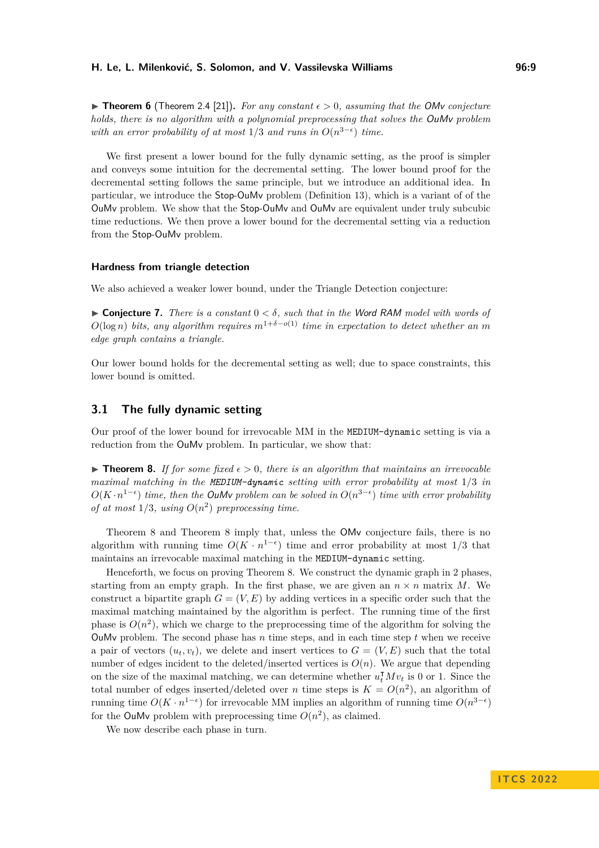▶ **Theorem 6** (Theorem 2.4 [\[21\]](#page-22-16))**.** *For any constant ϵ >* 0*, assuming that the* OMv *conjecture holds, there is no algorithm with a polynomial preprocessing that solves the* OuMv *problem with an error probability of at most*  $1/3$  *and runs in*  $O(n^{3-\epsilon})$  *time.* 

We first present a lower bound for the fully dynamic setting, as the proof is simpler and conveys some intuition for the decremental setting. The lower bound proof for the decremental setting follows the same principle, but we introduce an additional idea. In particular, we introduce the Stop-OuMv problem (Definition [13\)](#page-11-0), which is a variant of of the OuMv problem. We show that the Stop-OuMv and OuMv are equivalent under truly subcubic time reductions. We then prove a lower bound for the decremental setting via a reduction from the Stop-OuMv problem.

### **Hardness from triangle detection**

We also achieved a weaker lower bound, under the Triangle Detection conjecture:

 $\triangleright$  **Conjecture 7.** *There is a constant*  $0 < \delta$ , such that in the Word RAM model with words of  $O(\log n)$  bits, any algorithm requires  $m^{1+\delta-o(1)}$  time in expectation to detect whether an m *edge graph contains a triangle.*

Our lower bound holds for the decremental setting as well; due to space constraints, this lower bound is omitted.

### **3.1 The fully dynamic setting**

Our proof of the lower bound for irrevocable MM in the MEDIUM-dynamic setting is via a reduction from the OuMv problem. In particular, we show that:

<span id="page-8-0"></span>**► Theorem 8.** If for some fixed  $\epsilon > 0$ , there is an algorithm that maintains an irrevocable *maximal matching in the MEDIUM-dynamic setting with error probability at most* 1*/*3 *in O*( $K \cdot n^{1-\epsilon}$ ) *time, then the OuMv problem can be solved in*  $O(n^{3-\epsilon})$  *time with error probability of at most*  $1/3$ *, using*  $O(n^2)$  *preprocessing time.* 

Theorem [8](#page-8-0) and Theorem [8](#page-8-0) imply that, unless the OMv conjecture fails, there is no algorithm with running time  $O(K \cdot n^{1-\epsilon})$  time and error probability at most 1/3 that maintains an irrevocable maximal matching in the MEDIUM-dynamic setting.

Henceforth, we focus on proving Theorem [8.](#page-8-0) We construct the dynamic graph in 2 phases, starting from an empty graph. In the first phase, we are given an  $n \times n$  matrix *M*. We construct a bipartite graph  $G = (V, E)$  by adding vertices in a specific order such that the maximal matching maintained by the algorithm is perfect. The running time of the first phase is  $O(n^2)$ , which we charge to the preprocessing time of the algorithm for solving the OuMv problem. The second phase has *n* time steps, and in each time step *t* when we receive a pair of vectors  $(u_t, v_t)$ , we delete and insert vertices to  $G = (V, E)$  such that the total number of edges incident to the deleted/inserted vertices is  $O(n)$ . We argue that depending on the size of the maximal matching, we can determine whether  $u_t^{\dagger} M v_t$  is 0 or 1. Since the total number of edges inserted/deleted over *n* time steps is  $K = O(n^2)$ , an algorithm of running time  $O(K \cdot n^{1-\epsilon})$  for irrevocable MM implies an algorithm of running time  $O(n^{3-\epsilon})$ for the OuMv problem with preprocessing time  $O(n^2)$ , as claimed.

We now describe each phase in turn.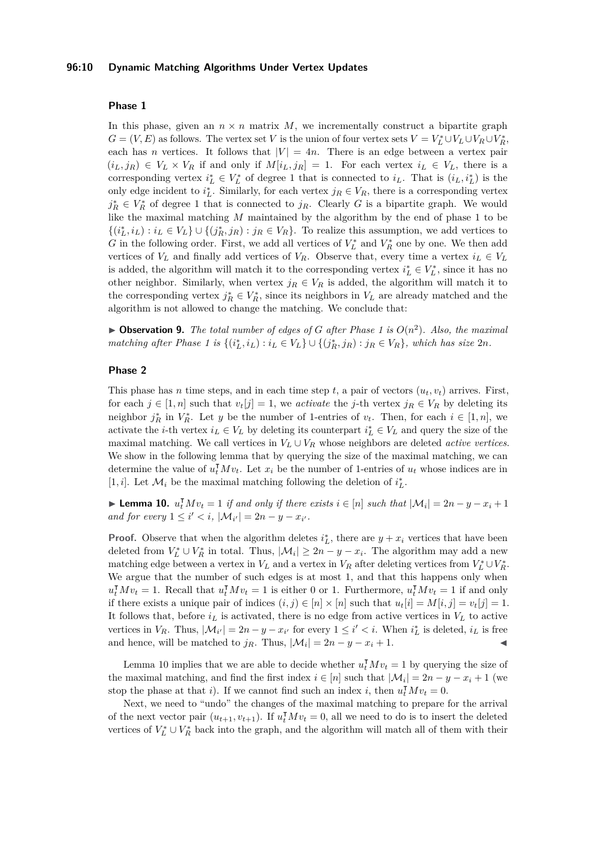### **96:10 Dynamic Matching Algorithms Under Vertex Updates**

### **Phase 1**

In this phase, given an  $n \times n$  matrix  $M$ , we incrementally construct a bipartite graph  $G = (V, E)$  as follows. The vertex set *V* is the union of four vertex sets  $V = V_L^* \cup V_L \cup V_R \cup V_R^*$ , each has *n* vertices. It follows that  $|V| = 4n$ . There is an edge between a vertex pair  $(i_L, j_R) \in V_L \times V_R$  if and only if  $M[i_L, j_R] = 1$ . For each vertex  $i_L \in V_L$ , there is a corresponding vertex  $i_L^* \in V_L^*$  of degree 1 that is connected to  $i_L$ . That is  $(i_L, i_L^*)$  is the only edge incident to  $i_L^*$ . Similarly, for each vertex  $j_R \in V_R$ , there is a corresponding vertex  $j_R^* \in V_R^*$  of degree 1 that is connected to  $j_R$ . Clearly *G* is a bipartite graph. We would like the maximal matching *M* maintained by the algorithm by the end of phase 1 to be  $\{(i_L^*, i_L) : i_L \in V_L\} \cup \{(j_R^*, j_R) : j_R \in V_R\}$ . To realize this assumption, we add vertices to *G* in the following order. First, we add all vertices of  $V_L^*$  and  $V_R^*$  one by one. We then add vertices of  $V_L$  and finally add vertices of  $V_R$ . Observe that, every time a vertex  $i_L \in V_L$ is added, the algorithm will match it to the corresponding vertex  $i_L^* \in V_L^*$ , since it has no other neighbor. Similarly, when vertex  $j_R \in V_R$  is added, the algorithm will match it to the corresponding vertex  $j_R^* \in V_R^*$ , since its neighbors in  $V_L$  are already matched and the algorithm is not allowed to change the matching. We conclude that:

<span id="page-9-1"></span> $\triangleright$  **Observation 9.** *The total number of edges of G after Phase 1 is*  $O(n^2)$ *. Also, the maximal* matching after Phase 1 is  $\{(i_L^*, i_L) : i_L \in V_L\} \cup \{(j_R^*, j_R) : j_R \in V_R\}$ , which has size  $2n$ .

### **Phase 2**

This phase has *n* time steps, and in each time step *t*, a pair of vectors  $(u_t, v_t)$  arrives. First, for each  $j \in [1, n]$  such that  $v_t[j] = 1$ , we *activate* the *j*-th vertex  $j_R \in V_R$  by deleting its neighbor  $j_R^*$  in  $V_R^*$ . Let *y* be the number of 1-entries of  $v_t$ . Then, for each  $i \in [1, n]$ , we activate the *i*-th vertex  $i_L \in V_L$  by deleting its counterpart  $i_L^* \in V_L$  and query the size of the maximal matching. We call vertices in  $V_L \cup V_R$  whose neighbors are deleted *active vertices*. We show in the following lemma that by querying the size of the maximal matching, we can determine the value of  $u_t^{\mathsf{T}} M v_t$ . Let  $x_i$  be the number of 1-entries of  $u_t$  whose indices are in [1, *i*]. Let  $\mathcal{M}_i$  be the maximal matching following the deletion of  $i_L^*$ .

<span id="page-9-0"></span>▶ **Lemma 10.**  $u_t^{\text{T}} M v_t = 1$  *if and only if there exists*  $i \in [n]$  *such that*  $|\mathcal{M}_i| = 2n - y - x_i + 1$ *and for every*  $1 \leq i' < i$ ,  $|\mathcal{M}_{i'}| = 2n - y - x_{i'}$ .

**Proof.** Observe that when the algorithm deletes  $i_L^*$ , there are  $y + x_i$  vertices that have been deleted from  $V_L^* \cup V_R^*$  in total. Thus,  $|\mathcal{M}_i| \geq 2n - y - x_i$ . The algorithm may add a new matching edge between a vertex in  $V_L$  and a vertex in  $V_R$  after deleting vertices from  $V_L^* \cup V_R^*$ . We argue that the number of such edges is at most 1, and that this happens only when  $u_t^{\mathsf{T}} M v_t = 1$ . Recall that  $u_t^{\mathsf{T}} M v_t = 1$  is either 0 or 1. Furthermore,  $u_t^{\mathsf{T}} M v_t = 1$  if and only if there exists a unique pair of indices  $(i, j) \in [n] \times [n]$  such that  $u_t[i] = M[i, j] = v_t[j] = 1$ . It follows that, before  $i_L$  is activated, there is no edge from active vertices in  $V_L$  to active vertices in  $V_R$ . Thus,  $|\mathcal{M}_{i'}| = 2n - y - x_{i'}$  for every  $1 \leq i' < i$ . When  $i_L^*$  is deleted,  $i_L$  is free and hence, will be matched to  $j_R$ . Thus,  $|\mathcal{M}_i| = 2n - y - x_i + 1$ .

Lemma [10](#page-9-0) implies that we are able to decide whether  $u_t^{\mathsf{T}} M v_t = 1$  by querying the size of the maximal matching, and find the first index  $i \in [n]$  such that  $|\mathcal{M}_i| = 2n - y - x_i + 1$  (we stop the phase at that *i*). If we cannot find such an index *i*, then  $u_t^{\mathsf{T}} M v_t = 0$ .

Next, we need to "undo" the changes of the maximal matching to prepare for the arrival of the next vector pair  $(u_{t+1}, v_{t+1})$ . If  $u_t^{\mathsf{T}} M v_t = 0$ , all we need to do is to insert the deleted vertices of  $V_L^* \cup V_R^*$  back into the graph, and the algorithm will match all of them with their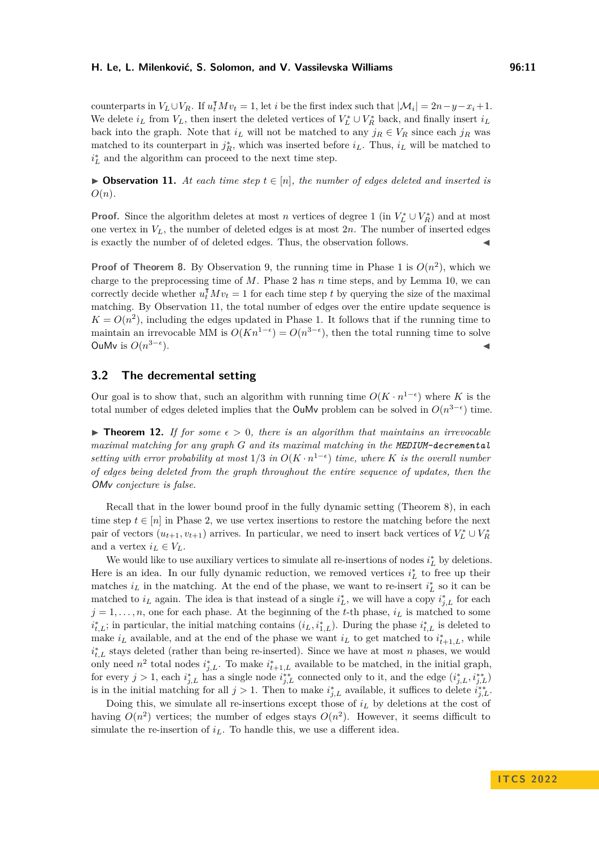counterparts in  $V_L \cup V_R$ . If  $u_t^{\dagger} M v_t = 1$ , let *i* be the first index such that  $|\mathcal{M}_i| = 2n - y - x_i + 1$ . We delete  $i_L$  from  $V_L$ , then insert the deleted vertices of  $V_L^* \cup V_R^*$  back, and finally insert  $i_L$ back into the graph. Note that  $i_L$  will not be matched to any  $j_R \in V_R$  since each  $j_R$  was matched to its counterpart in  $j_R^*$ , which was inserted before  $i_L$ . Thus,  $i_L$  will be matched to  $i^*_{L}$  and the algorithm can proceed to the next time step.

<span id="page-10-0"></span>▶ **Observation 11.** At each time step  $t \in [n]$ , the number of edges deleted and inserted is *O*(*n*)*.*

**Proof.** Since the algorithm deletes at most *n* vertices of degree 1 (in  $V_L^* \cup V_R^*$ ) and at most one vertex in *VL*, the number of deleted edges is at most 2*n*. The number of inserted edges is exactly the number of of deleted edges. Thus, the observation follows.

**Proof of Theorem [8.](#page-8-0)** By Observation [9,](#page-9-1) the running time in Phase 1 is  $O(n^2)$ , which we charge to the preprocessing time of *M*. Phase 2 has *n* time steps, and by Lemma [10,](#page-9-0) we can correctly decide whether  $u_t^{\mathsf{T}} M v_t = 1$  for each time step *t* by querying the size of the maximal matching. By Observation [11,](#page-10-0) the total number of edges over the entire update sequence is  $K = O(n^2)$ , including the edges updated in Phase 1. It follows that if the running time to maintain an irrevocable MM is  $O(Kn^{1-\epsilon}) = O(n^{3-\epsilon})$ , then the total running time to solve OuMv is  $O(n^{3-\epsilon})$  $\bullet$ 

### **3.2 The decremental setting**

Our goal is to show that, such an algorithm with running time  $O(K \cdot n^{1-\epsilon})$  where K is the total number of edges deleted implies that the **OuMv** problem can be solved in  $O(n^{3-\epsilon})$  time.

<span id="page-10-1"></span>**► Theorem 12.** If for some  $\epsilon > 0$ , there is an algorithm that maintains an irrevocable *maximal matching for any graph G and its maximal matching in the MEDIUM-decremental setting with error probability at most*  $1/3$  *in*  $O(K \cdot n^{1-\epsilon})$  *time, where K is the overall number of edges being deleted from the graph throughout the entire sequence of updates, then the* OMv *conjecture is false.*

Recall that in the lower bound proof in the fully dynamic setting (Theorem [8\)](#page-8-0), in each time step  $t \in [n]$  in Phase 2, we use vertex insertions to restore the matching before the next pair of vectors  $(u_{t+1}, v_{t+1})$  arrives. In particular, we need to insert back vertices of  $V_L^* \cup V_R^*$ and a vertex  $i_L \in V_L$ .

We would like to use auxiliary vertices to simulate all re-insertions of nodes  $i<sub>L</sub><sup>*</sup>$  by deletions. Here is an idea. In our fully dynamic reduction, we removed vertices  $i<sub>L</sub><sup>*</sup>$  to free up their matches  $i_L$  in the matching. At the end of the phase, we want to re-insert  $i_L^*$  so it can be matched to  $i_L$  again. The idea is that instead of a single  $i_L^*$ , we will have a copy  $i_{j,L}^*$  for each  $j = 1, \ldots, n$ , one for each phase. At the beginning of the *t*-th phase,  $i_L$  is matched to some  $i_{t,L}^*$ ; in particular, the initial matching contains  $(i_L, i_{1,L}^*)$ . During the phase  $i_{t,L}^*$  is deleted to make  $i_L$  available, and at the end of the phase we want  $i_L$  to get matched to  $i_{t+1,L}^*$ , while  $i_{t,L}^*$  stays deleted (rather than being re-inserted). Since we have at most *n* phases, we would only need  $n^2$  total nodes  $i^*_{j,L}$ . To make  $i^*_{t+1,L}$  available to be matched, in the initial graph, for every  $j > 1$ , each  $i_{j,L}^*$  has a single node  $i_{j,L}^{**}$  connected only to it, and the edge  $(i_{j,L}^*, i_{j,L}^{**})$ is in the initial matching for all  $j > 1$ . Then to make  $i_{j,L}^*$  available, it suffices to delete  $i_{j,L}^{**}$ .

Doing this, we simulate all re-insertions except those of *i<sup>L</sup>* by deletions at the cost of having  $O(n^2)$  vertices; the number of edges stays  $O(n^2)$ . However, it seems difficult to simulate the re-insertion of  $i<sub>L</sub>$ . To handle this, we use a different idea.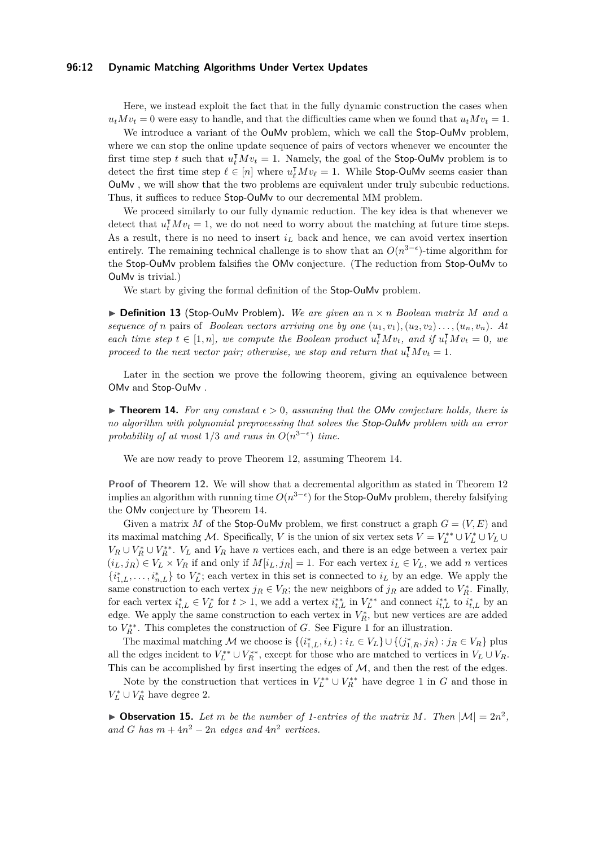### **96:12 Dynamic Matching Algorithms Under Vertex Updates**

Here, we instead exploit the fact that in the fully dynamic construction the cases when  $u_t M v_t = 0$  were easy to handle, and that the difficulties came when we found that  $u_t M v_t = 1$ .

We introduce a variant of the OuMv problem, which we call the Stop-OuMv problem, where we can stop the online update sequence of pairs of vectors whenever we encounter the first time step *t* such that  $u_t^{\mathsf{T}} M v_t = 1$ . Namely, the goal of the Stop-OuMv problem is to detect the first time step  $\ell \in [n]$  where  $u_{\ell}^{\mathsf{T}} M v_{\ell} = 1$ . While Stop-OuMv seems easier than OuMv , we will show that the two problems are equivalent under truly subcubic reductions. Thus, it suffices to reduce Stop-OuMv to our decremental MM problem.

We proceed similarly to our fully dynamic reduction. The key idea is that whenever we detect that  $u_t^{\intercal} M v_t = 1$ , we do not need to worry about the matching at future time steps. As a result, there is no need to insert  $i_L$  back and hence, we can avoid vertex insertion entirely. The remaining technical challenge is to show that an  $O(n^{3-\epsilon})$ -time algorithm for the Stop-OuMv problem falsifies the OMv conjecture. (The reduction from Stop-OuMv to OuMv is trivial.)

We start by giving the formal definition of the Stop-OuMv problem.

<span id="page-11-0"></span>▶ **Definition 13** (Stop-OuMv Problem)**.** *We are given an n* × *n Boolean matrix M and a sequence of n* pairs of *Boolean vectors arriving one by one*  $(u_1, v_1), (u_2, v_2), \ldots, (u_n, v_n)$ *. At each time step*  $t \in [1, n]$ *, we compute the Boolean product*  $u_t^{\mathsf{T}} M v_t$ *, and if*  $u_t^{\mathsf{T}} M v_t = 0$ *, we proceed to the next vector pair; otherwise, we stop and return that*  $u_t^{\mathsf{T}} M v_t = 1$ .

Later in the section we prove the following theorem, giving an equivalence between OMv and Stop-OuMv .

<span id="page-11-1"></span>**► Theorem 14.** For any constant  $\epsilon > 0$ , assuming that the OMv conjecture holds, there is *no algorithm with polynomial preprocessing that solves the* Stop-OuMv *problem with an error* probability of at most  $1/3$  and runs in  $O(n^{3-\epsilon})$  time.

We are now ready to prove Theorem [12,](#page-10-1) assuming Theorem [14.](#page-11-1)

**Proof of Theorem [12.](#page-10-1)** We will show that a decremental algorithm as stated in Theorem [12](#page-10-1) implies an algorithm with running time  $O(n^{3-\epsilon})$  for the Stop-OuMv problem, thereby falsifying the OMv conjecture by Theorem [14.](#page-11-1)

Given a matrix *M* of the Stop-OuMv problem, we first construct a graph  $G = (V, E)$  and its maximal matching M. Specifically, *V* is the union of six vertex sets  $V = V_L^{**} \cup V_L^* \cup V_L \cup$  $V_R \cup V_R^* \cup V_R^{**}$ .  $V_L$  and  $V_R$  have *n* vertices each, and there is an edge between a vertex pair  $(i_L, j_R) \in V_L \times V_R$  if and only if  $M[i_L, j_R] = 1$ . For each vertex  $i_L \in V_L$ , we add *n* vertices  $\{i_{1,L}^*,\ldots,i_{n,L}^*\}$  to  $V_L^*$ ; each vertex in this set is connected to  $i_L$  by an edge. We apply the same construction to each vertex  $j_R \in V_R$ ; the new neighbors of  $j_R$  are added to  $V_R^*$ . Finally, for each vertex  $i_{t,L}^* \in V_L^*$  for  $t > 1$ , we add a vertex  $i_{t,L}^{**}$  in  $V_L^{**}$  and connect  $i_{t,L}^{**}$  to  $i_{t,L}^*$  by an edge. We apply the same construction to each vertex in  $V_R^*$ , but new vertices are are added to  $V_R^{**}$ . This completes the construction of *G*. See Figure [1](#page-12-0) for an illustration.

The maximal matching M we choose is  $\{(i_{1,L}^*, i_L) : i_L \in V_L\} \cup \{(j_{1,R}^*, j_R) : j_R \in V_R\}$  plus all the edges incident to  $V_L^{**} \cup V_R^{**}$ , except for those who are matched to vertices in  $V_L \cup V_R$ . This can be accomplished by first inserting the edges of  $M$ , and then the rest of the edges.

Note by the construction that vertices in  $V_L^{**} \cup V_R^{**}$  have degree 1 in *G* and those in  $V_L^* \cup V_R^*$  have degree 2.

<span id="page-11-2"></span> $\blacktriangleright$  **Observation 15.** Let m be the number of 1-entries of the matrix M. Then  $|\mathcal{M}| = 2n^2$ , and *G* has  $m + 4n^2 - 2n$  edges and  $4n^2$  vertices.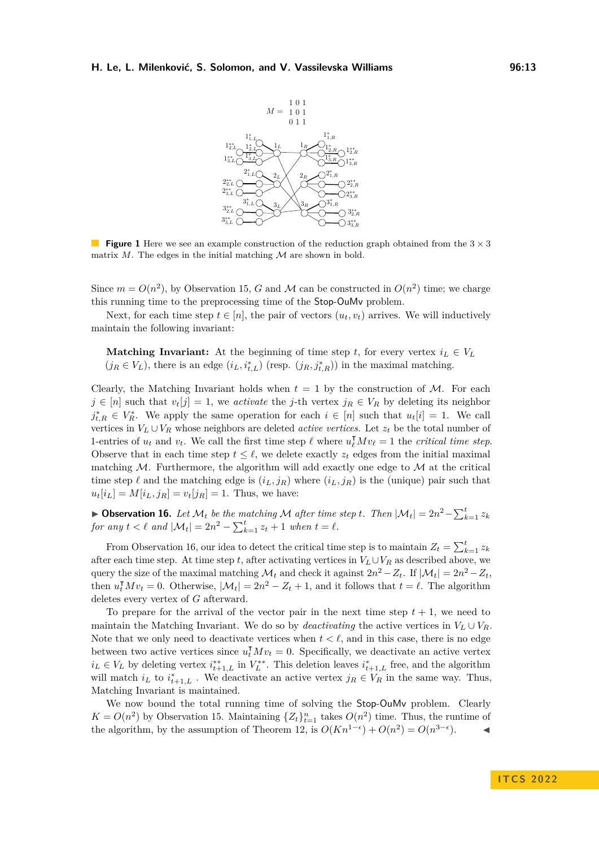<span id="page-12-0"></span>

**Figure 1** Here we see an example construction of the reduction graph obtained from the  $3 \times 3$ matrix  $M$ . The edges in the initial matching  $M$  are shown in bold.

Since  $m = O(n^2)$ , by Observation [15,](#page-11-2) *G* and *M* can be constructed in  $O(n^2)$  time; we charge this running time to the preprocessing time of the Stop-OuMv problem.

Next, for each time step  $t \in [n]$ , the pair of vectors  $(u_t, v_t)$  arrives. We will inductively maintain the following invariant:

**Matching Invariant:** At the beginning of time step *t*, for every vertex  $i_L \in V_L$  $(j_R \in V_L)$ , there is an edge  $(i_L, i_{t,L}^*)$  (resp.  $(j_R, j_{t,R}^*)$ ) in the maximal matching.

Clearly, the Matching Invariant holds when  $t = 1$  by the construction of M. For each *j* ∈ [*n*] such that  $v_t[j] = 1$ , we *activate* the *j*-th vertex  $j_R ∈ V_R$  by deleting its neighbor  $j_{t,R}^* \in V_R^*$ . We apply the same operation for each  $i \in [n]$  such that  $u_t[i] = 1$ . We call vertices in  $V_L \cup V_R$  whose neighbors are deleted *active vertices*. Let  $z_t$  be the total number of 1-entries of  $u_t$  and  $v_t$ . We call the first time step  $\ell$  where  $u_{\ell}^{\mathsf{T}} M v_{\ell} = 1$  the *critical time step*. Observe that in each time step  $t \leq \ell$ , we delete exactly  $z_t$  edges from the initial maximal matching  $M$ . Furthermore, the algorithm will add exactly one edge to  $M$  at the critical time step  $\ell$  and the matching edge is  $(i_L, j_R)$  where  $(i_L, j_R)$  is the (unique) pair such that  $u_t[i_L] = M[i_L, j_R] = v_t[j_R] = 1$ . Thus, we have:

<span id="page-12-1"></span>▶ Observation 16. Let  $\mathcal{M}_t$  be the matching  $\mathcal{M}$  after time step *t*. Then  $|\mathcal{M}_t| = 2n^2 - \sum_{k=1}^t z_k$ *for any*  $t < \ell$  *and*  $|\mathcal{M}_t| = 2n^2 - \sum_{k=1}^t z_t + 1$  *when*  $t = \ell$ *.* 

From Observation [16,](#page-12-1) our idea to detect the critical time step is to maintain  $Z_t = \sum_{k=1}^t z_k$ after each time step. At time step *t*, after activating vertices in  $V_L \cup V_R$  as described above, we query the size of the maximal matching  $\mathcal{M}_t$  and check it against  $2n^2 - Z_t$ . If  $|\mathcal{M}_t| = 2n^2 - Z_t$ , then  $u_t^{\mathsf{T}} M v_t = 0$ . Otherwise,  $|\mathcal{M}_t| = 2n^2 - Z_t + 1$ , and it follows that  $t = \ell$ . The algorithm deletes every vertex of *G* afterward.

To prepare for the arrival of the vector pair in the next time step  $t + 1$ , we need to maintain the Matching Invariant. We do so by *deactivating* the active vertices in  $V_L \cup V_R$ . Note that we only need to deactivate vertices when  $t < \ell$ , and in this case, there is no edge between two active vertices since  $u_t^{\mathsf{T}} M v_t = 0$ . Specifically, we deactivate an active vertex  $i_L \in V_L$  by deleting vertex  $i_{t+1,L}^*$  in  $V_L^{**}$ . This deletion leaves  $i_{t+1,L}^*$  free, and the algorithm will match  $i_L$  to  $i_{t+1,L}^*$ . We deactivate an active vertex  $j_R \in V_R$  in the same way. Thus, Matching Invariant is maintained.

We now bound the total running time of solving the Stop-OuMy problem. Clearly  $K = O(n^2)$  by Observation [15.](#page-11-2) Maintaining  $\{Z_t\}_{t=1}^n$  takes  $O(n^2)$  time. Thus, the runtime of the algorithm, by the assumption of Theorem [12,](#page-10-1) is  $O(Kn^{1-\epsilon}) + O(n^2) = O(n^{3-\epsilon})$ .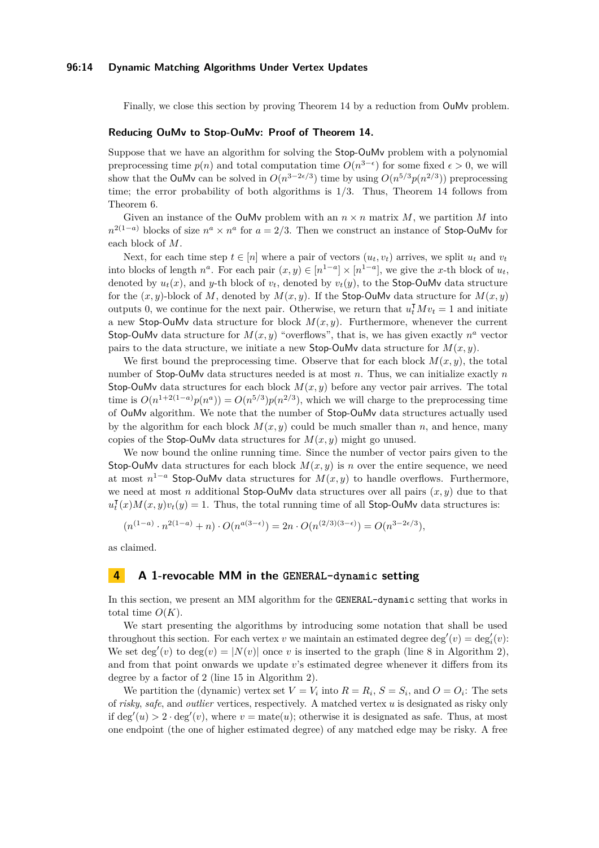### **96:14 Dynamic Matching Algorithms Under Vertex Updates**

Finally, we close this section by proving Theorem [14](#page-11-1) by a reduction from OuMv problem.

#### **Reducing OuMv to Stop-OuMv: Proof of Theorem [14.](#page-11-1)**

Suppose that we have an algorithm for solving the Stop-OuMv problem with a polynomial preprocessing time  $p(n)$  and total computation time  $O(n^{3-\epsilon})$  for some fixed  $\epsilon > 0$ , we will show that the OuMv can be solved in  $O(n^{3-2\epsilon/3})$  time by using  $O(n^{5/3}p(n^{2/3}))$  preprocessing time; the error probability of both algorithms is 1*/*3. Thus, Theorem [14](#page-11-1) follows from Theorem [6.](#page-7-2)

Given an instance of the OuMv problem with an  $n \times n$  matrix M, we partition M into  $n^{2(1-a)}$  blocks of size  $n^a \times n^a$  for  $a = 2/3$ . Then we construct an instance of Stop-OuMv for each block of *M*.

Next, for each time step  $t \in [n]$  where a pair of vectors  $(u_t, v_t)$  arrives, we split  $u_t$  and  $v_t$ into blocks of length  $n^a$ . For each pair  $(x, y) \in [n^{1-a}] \times [n^{1-a}]$ , we give the *x*-th block of  $u_t$ , denoted by  $u_t(x)$ , and y-th block of  $v_t$ , denoted by  $v_t(y)$ , to the Stop-OuMv data structure for the  $(x, y)$ -block of M, denoted by  $M(x, y)$ . If the Stop-OuMv data structure for  $M(x, y)$ outputs 0, we continue for the next pair. Otherwise, we return that  $u_t^{\mathsf{T}} M v_t = 1$  and initiate a new Stop-OuMv data structure for block  $M(x, y)$ . Furthermore, whenever the current Stop-OuMv data structure for  $M(x, y)$  "overflows", that is, we has given exactly  $n^a$  vector pairs to the data structure, we initiate a new Stop-OuMv data structure for  $M(x, y)$ .

We first bound the preprocessing time. Observe that for each block  $M(x, y)$ , the total number of Stop-OuMv data structures needed is at most *n*. Thus, we can initialize exactly *n* Stop-OuMv data structures for each block  $M(x, y)$  before any vector pair arrives. The total time is  $O(n^{1+2(1-a)}p(n^a)) = O(n^{5/3})p(n^{2/3})$ , which we will charge to the preprocessing time of OuMv algorithm. We note that the number of Stop-OuMv data structures actually used by the algorithm for each block  $M(x, y)$  could be much smaller than *n*, and hence, many copies of the Stop-OuMv data structures for *M*(*x, y*) might go unused.

We now bound the online running time. Since the number of vector pairs given to the Stop-OuMv data structures for each block  $M(x, y)$  is *n* over the entire sequence, we need at most  $n^{1-a}$  Stop-OuMv data structures for  $M(x, y)$  to handle overflows. Furthermore, we need at most *n* additional **Stop-OuMv** data structures over all pairs  $(x, y)$  due to that *u* ⊺  $\tau_t^{\intercal}(x)M(x,y)v_t(y) = 1$ . Thus, the total running time of all Stop-OuMv data structures is:

$$
(n^{(1-a)} \cdot n^{2(1-a)} + n) \cdot O(n^{a(3-\epsilon)}) = 2n \cdot O(n^{(2/3)(3-\epsilon)}) = O(n^{3-2\epsilon/3}),
$$

as claimed.

### **4 A 1-revocable MM in the GENERAL-dynamic setting**

In this section, we present an MM algorithm for the GENERAL-dynamic setting that works in total time  $O(K)$ .

We start presenting the algorithms by introducing some notation that shall be used throughout this section. For each vertex *v* we maintain an estimated degree  $\deg'(v) = \deg'_i(v)$ : We set deg'(*v*) to deg(*v*) =  $|N(v)|$  once *v* is inserted to the graph (line [8](#page-14-0) in Algorithm [2\)](#page-15-0), and from that point onwards we update *v*'s estimated degree whenever it differs from its degree by a factor of 2 (line [15](#page-14-0) in Algorithm [2\)](#page-15-0).

We partition the (dynamic) vertex set  $V = V_i$  into  $R = R_i$ ,  $S = S_i$ , and  $O = O_i$ : The sets of *risky*, *safe*, and *outlier* vertices, respectively. A matched vertex *u* is designated as risky only if deg'(u) > 2 · deg'(v), where  $v = \text{mate}(u)$ ; otherwise it is designated as safe. Thus, at most one endpoint (the one of higher estimated degree) of any matched edge may be risky. A free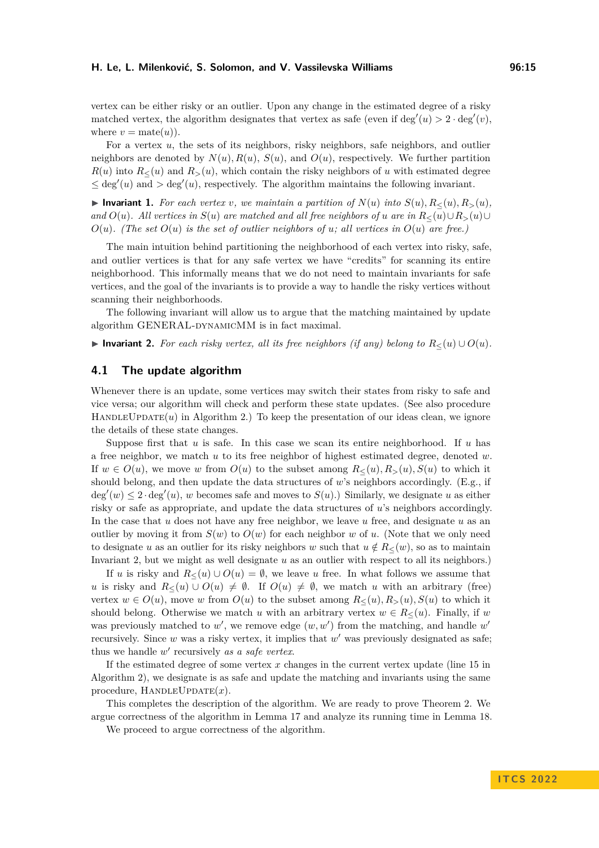vertex can be either risky or an outlier. Upon any change in the estimated degree of a risky matched vertex, the algorithm designates that vertex as safe (even if  $\deg'(u) > 2 \cdot \deg'(v)$ , where  $v = \text{mate}(u)$ ).

For a vertex *u*, the sets of its neighbors, risky neighbors, safe neighbors, and outlier neighbors are denoted by  $N(u)$ ,  $R(u)$ ,  $S(u)$ , and  $O(u)$ , respectively. We further partition  $R(u)$  into  $R_<(u)$  and  $R_>(u)$ , which contain the risky neighbors of *u* with estimated degree  $\leq$  deg'(u) and  $>$  deg'(u), respectively. The algorithm maintains the following invariant.

<span id="page-14-3"></span>▶ Invariant 1. *For each vertex v, we maintain a partition of*  $N(u)$  *into*  $S(u)$ *,*  $R_<(u)$ *,*  $R_>(u)$ *, and*  $O(u)$ *. All vertices in*  $S(u)$  *are matched and all free neighbors of u are in*  $R_<(u) \cup R_>(u) \cup$  $O(u)$ . (The set  $O(u)$  is the set of outlier neighbors of *u*; all vertices in  $O(u)$  are free.)

The main intuition behind partitioning the neighborhood of each vertex into risky, safe, and outlier vertices is that for any safe vertex we have "credits" for scanning its entire neighborhood. This informally means that we do not need to maintain invariants for safe vertices, and the goal of the invariants is to provide a way to handle the risky vertices without scanning their neighborhoods.

The following invariant will allow us to argue that the matching maintained by update algorithm GENERAL-DYNAMICMM is in fact maximal.

<span id="page-14-1"></span>▶ **Invariant 2.** *For each risky vertex, all its free neighbors (if any) belong to*  $R_≤(u) ∪ O(u)$ *.* 

### <span id="page-14-0"></span>**4.1 The update algorithm**

Whenever there is an update, some vertices may switch their states from risky to safe and vice versa; our algorithm will check and perform these state updates. (See also procedure  $H$ ANDLEUPDATE $(u)$  in Algorithm [2.](#page-15-0)) To keep the presentation of our ideas clean, we ignore the details of these state changes.

Suppose first that *u* is safe. In this case we scan its entire neighborhood. If *u* has a free neighbor, we match *u* to its free neighbor of highest estimated degree, denoted *w*. If  $w \in O(u)$ , we move *w* from  $O(u)$  to the subset among  $R_<(u)$ ,  $R_>(u)$ ,  $S(u)$  to which it should belong, and then update the data structures of *w*'s neighbors accordingly. (E.g., if  $deg'(w) \leq 2 \cdot deg'(u)$ , *w* becomes safe and moves to  $S(u)$ .) Similarly, we designate *u* as either risky or safe as appropriate, and update the data structures of *u*'s neighbors accordingly. In the case that *u* does not have any free neighbor, we leave *u* free, and designate *u* as an outlier by moving it from  $S(w)$  to  $O(w)$  for each neighbor *w* of *u*. (Note that we only need to designate *u* as an outlier for its risky neighbors *w* such that  $u \notin R_{\leq}(w)$ , so as to maintain Invariant [2,](#page-14-1) but we might as well designate *u* as an outlier with respect to all its neighbors.)

If *u* is risky and  $R_{\leq}(u) \cup O(u) = \emptyset$ , we leave *u* free. In what follows we assume that *u* is risky and  $R<(u) \cup O(u) \neq \emptyset$ . If  $O(u) \neq \emptyset$ , we match *u* with an arbitrary (free) vertex  $w \in O(u)$ , move  $w$  from  $O(u)$  to the subset among  $R_{\leq}(u), R_{>}(u), S(u)$  to which it should belong. Otherwise we match *u* with an arbitrary vertex  $w \in R_<(u)$ . Finally, if *w* was previously matched to  $w'$ , we remove edge  $(w, w')$  from the matching, and handle  $w'$ recursively. Since *w* was a risky vertex, it implies that *w'* was previously designated as safe; thus we handle *w* ′ recursively *as a safe vertex*.

If the estimated degree of some vertex *x* changes in the current vertex update (line [15](#page-14-0) in Algorithm [2\)](#page-15-0), we designate is as safe and update the matching and invariants using the same procedure,  $H$ ANDLEUPDATE $(x)$ .

This completes the description of the algorithm. We are ready to prove Theorem [2.](#page-4-1) We argue correctness of the algorithm in Lemma [17](#page-14-2) and analyze its running time in Lemma [18.](#page-16-0)

<span id="page-14-2"></span>We proceed to argue correctness of the algorithm.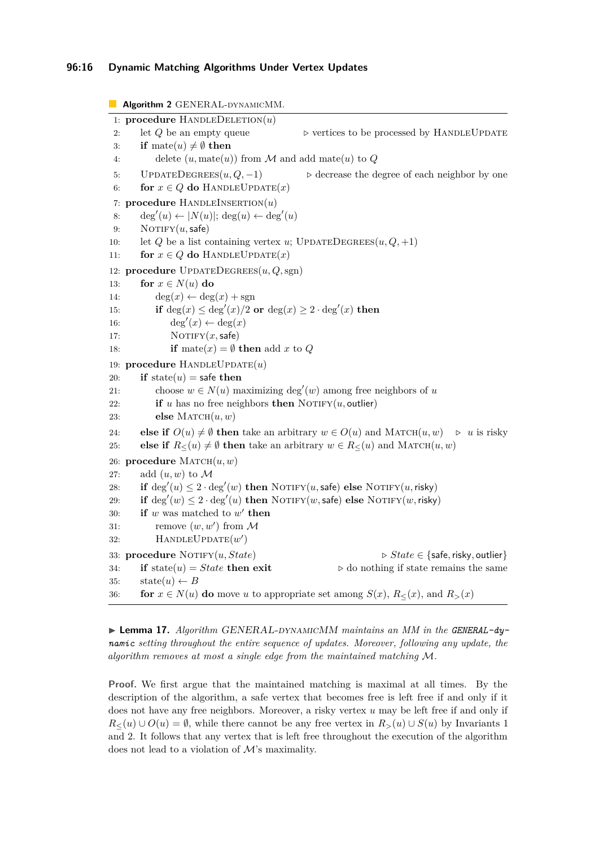<span id="page-15-0"></span>**Algorithm 2** GENERAL-DYNAMICMM. 1: **procedure** HANDLEDELETION $(u)$ 2: let *Q* be an empty queue  $\rho$  vertices to be processed by HANDLEUPDATE 3: **if** mate $(u) \neq \emptyset$  **then** 4: delete  $(u, \text{mate}(u))$  from  $M$  and add mate $(u)$  to  $Q$ 5: UPDATEDEGREES $(u, Q, -1)$  > decrease the degree of each neighbor by one 6: **for**  $x \in Q$  **do** HANDLEUPDATE $(x)$ 7: **procedure** HANDLEINSERTION $(u)$ 8: deg'(u)  $\leftarrow |N(u)|$ ; deg(u)  $\leftarrow$  deg'(u) 9: NOTIFY $(u, \textsf{safe})$ 10: let *Q* be a list containing vertex *u*; UPDATEDEGREES $(u, Q, +1)$ 11: **for**  $x \in Q$  **do** HANDLEUPDATE $(x)$ 12: **procedure** UpdateDegrees(*u, Q,*sgn) 13: **for**  $x \in N(u)$  **do** 14:  $\deg(x) \leftarrow \deg(x) + \text{sgn}$ 15: **if** deg(x)  $\leq$  deg'(x)/2 **or** deg(x)  $\geq$  2 · deg'(x) **then** 16: deg'(x)  $\leftarrow$  deg(x) 17:  $\text{NOTIFY}(x, \text{safe})$ 18: **if** mate(*x*) =  $\emptyset$  **then** add *x* to *Q* 19: **procedure** HANDLEUPDATE(*u*) 20: **if** state(*u*) = safe then 21: choose  $w \in N(u)$  maximizing deg'(*w*) among free neighbors of *u* 22: **if** *u* has no free neighbors **then** NOTIFY(*u*, outlier) 23: **else**  $M$ ATCH $(u, w)$ 24: **else if**  $O(u) \neq \emptyset$  then take an arbitrary  $w \in O(u)$  and MATCH $(u, w) \geq u$  is risky 25: **else if**  $R_<(u) \neq \emptyset$  then take an arbitrary  $w \in R_<(u)$  and MATCH $(u, w)$ 26: **procedure**  $M$ ATCH $(u, w)$ 27: add  $(u, w)$  to M 28: **if**  $\deg'(u) \leq 2 \cdot \deg'(w)$  then  $\text{NOTIFY}(u, \text{safe})$  else  $\text{NOTIFY}(u, \text{risky})$ 29: **if**  $\deg'(w) \leq 2 \cdot \deg'(u)$  then  $\text{NOTIFY}(w, \text{safe})$  else  $\text{NOTIFY}(w, \text{risky})$ 30: **if**  $w$  was matched to  $w'$  then 31: remove  $(w, w')$  from  $\mathcal M$ 32: HANDLEUPDATE(*w'*) 33: **procedure** Notify(*u, State*) *▷ State* ∈ {safe*,*risky*,* outlier} 34: **if** state(*u*) = *State* **then exit**  $\rho$  do nothing if state remains the same 35:  $\text{state}(u) \leftarrow B$ 36: **for**  $x \in N(u)$  **do** move *u* to appropriate set among  $S(x)$ ,  $R_{\leq}(x)$ , and  $R_{>}(x)$ 

▶ Lemma 17. *Algorithm GENERAL-DYNAMICMM maintains an MM in the GENERAL-dynamic setting throughout the entire sequence of updates. Moreover, following any update, the algorithm removes at most a single edge from the maintained matching* M*.*

**Proof.** We first argue that the maintained matching is maximal at all times. By the description of the algorithm, a safe vertex that becomes free is left free if and only if it does not have any free neighbors. Moreover, a risky vertex *u* may be left free if and only if *R*≤(*u*) ∪  $O(u) = ∅$ , while there cannot be any free vertex in  $R_>(u) \cup S(u)$  by Invariants [1](#page-14-3) and [2.](#page-14-1) It follows that any vertex that is left free throughout the execution of the algorithm does not lead to a violation of M's maximality.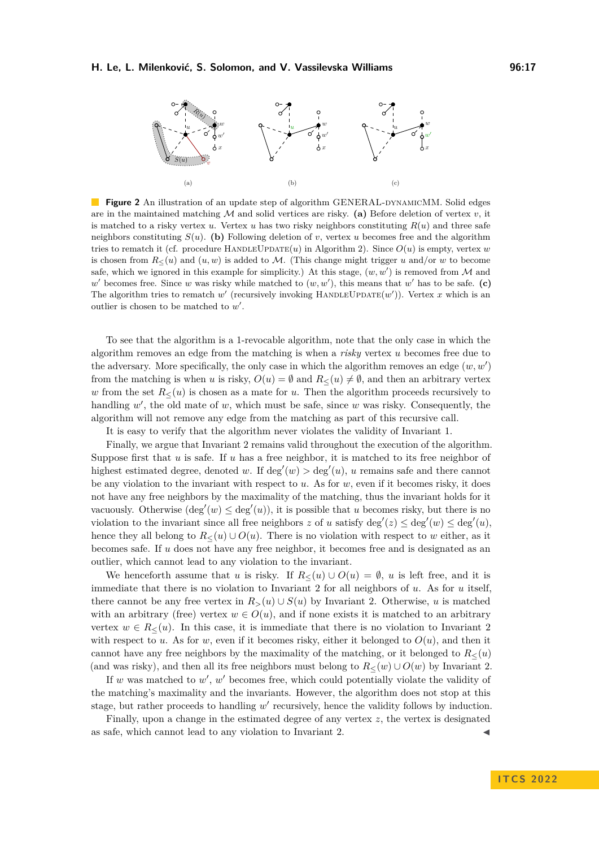

**Figure 2** An illustration of an update step of algorithm GENERAL-DYNAMICMM. Solid edges are in the maintained matching  $M$  and solid vertices are risky. (a) Before deletion of vertex  $v$ , it is matched to a risky vertex  $u$ . Vertex  $u$  has two risky neighbors constituting  $R(u)$  and three safe neighbors constituting  $S(u)$ . (b) Following deletion of *v*, vertex *u* becomes free and the algorithm tries to rematch it (cf. procedure HANDLEUPDATE(*u*) in Algorithm [2\)](#page-15-0). Since  $O(u)$  is empty, vertex *w* is chosen from  $R_<(u)$  and  $(u, w)$  is added to M. (This change might trigger *u* and/or *w* to become safe, which we ignored in this example for simplicity.) At this stage,  $(w, w')$  is removed from M and  $w'$  becomes free. Since *w* was risky while matched to  $(w, w')$ , this means that  $w'$  has to be safe. (c) The algorithm tries to rematch  $w'$  (recursively invoking HANDLEUPDATE $(w')$ ). Vertex *x* which is an outlier is chosen to be matched to  $w'$ .

To see that the algorithm is a 1-revocable algorithm, note that the only case in which the algorithm removes an edge from the matching is when a *risky* vertex *u* becomes free due to the adversary. More specifically, the only case in which the algorithm removes an edge  $(w, w')$ from the matching is when *u* is risky,  $O(u) = \emptyset$  and  $R<(u) \neq \emptyset$ , and then an arbitrary vertex *w* from the set  $R_<(u)$  is chosen as a mate for *u*. Then the algorithm proceeds recursively to handling w', the old mate of w, which must be safe, since w was risky. Consequently, the algorithm will not remove any edge from the matching as part of this recursive call.

It is easy to verify that the algorithm never violates the validity of Invariant [1.](#page-14-3)

Finally, we argue that Invariant [2](#page-14-1) remains valid throughout the execution of the algorithm. Suppose first that *u* is safe. If *u* has a free neighbor, it is matched to its free neighbor of highest estimated degree, denoted *w*. If  $\deg'(w) > \deg'(u)$ , *u* remains safe and there cannot be any violation to the invariant with respect to  $u$ . As for  $w$ , even if it becomes risky, it does not have any free neighbors by the maximality of the matching, thus the invariant holds for it vacuously. Otherwise  $(\deg'(w) \leq \deg'(u))$ , it is possible that *u* becomes risky, but there is no violation to the invariant since all free neighbors *z* of *u* satisfy  $\deg'(z) \leq \deg'(w) \leq \deg'(u)$ , hence they all belong to  $R_<(u) \cup O(u)$ . There is no violation with respect to *w* either, as it becomes safe. If *u* does not have any free neighbor, it becomes free and is designated as an outlier, which cannot lead to any violation to the invariant.

We henceforth assume that *u* is risky. If  $R<(u) \cup O(u) = \emptyset$ , *u* is left free, and it is immediate that there is no violation to Invariant [2](#page-14-1) for all neighbors of *u*. As for *u* itself, there cannot be any free vertex in  $R_>(u) \cup S(u)$  by Invariant [2.](#page-14-1) Otherwise, *u* is matched with an arbitrary (free) vertex  $w \in O(u)$ , and if none exists it is matched to an arbitrary vertex  $w \in R_<(u)$ . In this case, it is immediate that there is no violation to Invariant [2](#page-14-1) with respect to *u*. As for *w*, even if it becomes risky, either it belonged to  $O(u)$ , and then it cannot have any free neighbors by the maximality of the matching, or it belonged to  $R<(u)$ (and was risky), and then all its free neighbors must belong to  $R<(w) \cup O(w)$  by Invariant [2.](#page-14-1)

If *w* was matched to *w'*, *w'* becomes free, which could potentially violate the validity of the matching's maximality and the invariants. However, the algorithm does not stop at this stage, but rather proceeds to handling w' recursively, hence the validity follows by induction.

<span id="page-16-0"></span>Finally, upon a change in the estimated degree of any vertex *z*, the vertex is designated as safe, which cannot lead to any violation to Invariant [2.](#page-14-1)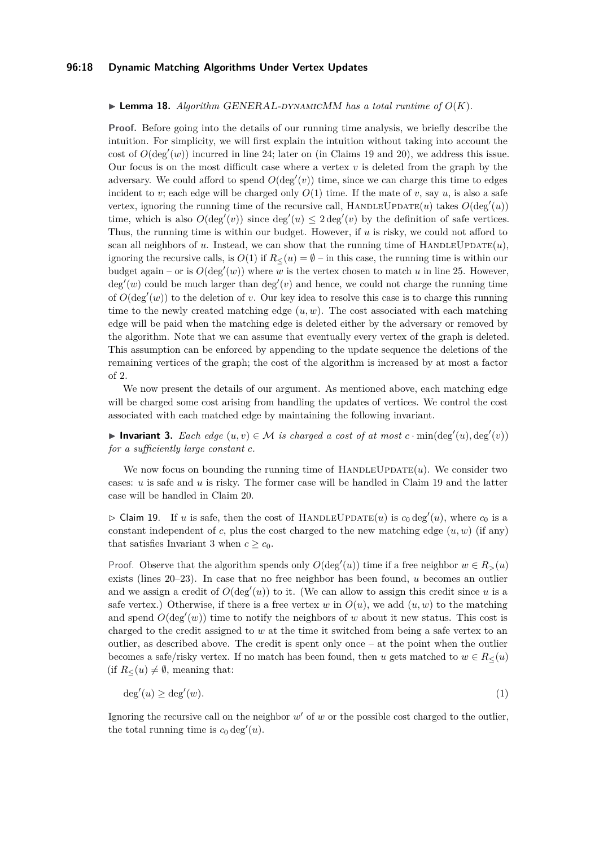### **96:18 Dynamic Matching Algorithms Under Vertex Updates**

#### $\triangleright$  **Lemma 18.** Algorithm GENERAL-DYNAMICMM has a total runtime of  $O(K)$ .

**Proof.** Before going into the details of our running time analysis, we briefly describe the intuition. For simplicity, we will first explain the intuition without taking into account the cost of  $O(\deg'(w))$  incurred in line [24;](#page-14-0) later on (in Claims [19](#page-17-0) and [20\)](#page-18-0), we address this issue. Our focus is on the most difficult case where a vertex  $v$  is deleted from the graph by the adversary. We could afford to spend  $O(\deg'(v))$  time, since we can charge this time to edges incident to *v*; each edge will be charged only  $O(1)$  time. If the mate of *v*, say *u*, is also a safe vertex, ignoring the running time of the recursive call,  $H$ ANDLEUPDATE $(u)$  takes  $O(\deg'(u))$ time, which is also  $O(\deg'(v))$  since  $\deg'(u) \leq 2 \deg'(v)$  by the definition of safe vertices. Thus, the running time is within our budget. However, if *u* is risky, we could not afford to scan all neighbors of *u*. Instead, we can show that the running time of HANDLEUPDATE $(u)$ , ignoring the recursive calls, is  $O(1)$  if  $R<(u) = \emptyset$  – in this case, the running time is within our budget again – or is  $O(\deg'(w))$  where *w* is the vertex chosen to match *u* in line [25.](#page-14-0) However,  $deg'(w)$  could be much larger than  $deg'(v)$  and hence, we could not charge the running time of  $O(\deg'(w))$  to the deletion of *v*. Our key idea to resolve this case is to charge this running time to the newly created matching edge  $(u, w)$ . The cost associated with each matching edge will be paid when the matching edge is deleted either by the adversary or removed by the algorithm. Note that we can assume that eventually every vertex of the graph is deleted. This assumption can be enforced by appending to the update sequence the deletions of the remaining vertices of the graph; the cost of the algorithm is increased by at most a factor of 2.

We now present the details of our argument. As mentioned above, each matching edge will be charged some cost arising from handling the updates of vertices. We control the cost associated with each matched edge by maintaining the following invariant.

<span id="page-17-1"></span>▶ **Invariant 3.** *Each edge*  $(u, v) \in M$  *is charged a cost of at most*  $c \cdot \min(\deg'(u), \deg'(v))$ *for a sufficiently large constant c.*

We now focus on bounding the running time of  $HANDLEUPDATE(u)$ . We consider two cases: *u* is safe and *u* is risky. The former case will be handled in Claim [19](#page-17-0) and the latter case will be handled in Claim [20.](#page-18-0)

<span id="page-17-0"></span> $\triangleright$  Claim 19. If *u* is safe, then the cost of HANDLEUPDATE(*u*) is  $c_0 \deg'(u)$ , where  $c_0$  is a constant independent of  $c$ , plus the cost charged to the new matching edge  $(u, w)$  (if any) that satisfies Invariant [3](#page-17-1) when  $c \geq c_0$ .

Proof. Observe that the algorithm spends only  $O(\deg'(u))$  time if a free neighbor  $w \in R_>(u)$ exists (lines [20–23\)](#page-14-0). In case that no free neighbor has been found, *u* becomes an outlier and we assign a credit of  $O(\deg'(u))$  to it. (We can allow to assign this credit since *u* is a safe vertex.) Otherwise, if there is a free vertex *w* in  $O(u)$ , we add  $(u, w)$  to the matching and spend  $O(\deg'(w))$  time to notify the neighbors of *w* about it new status. This cost is charged to the credit assigned to *w* at the time it switched from being a safe vertex to an outlier, as described above. The credit is spent only once – at the point when the outlier becomes a safe/risky vertex. If no match has been found, then *u* gets matched to  $w \in R_<(u)$ (if  $R_<(u) \neq \emptyset$ , meaning that:

<span id="page-17-2"></span>
$$
\deg'(u) \ge \deg'(w). \tag{1}
$$

Ignoring the recursive call on the neighbor  $w'$  of  $w$  or the possible cost charged to the outlier, the total running time is  $c_0 \deg'(u)$ .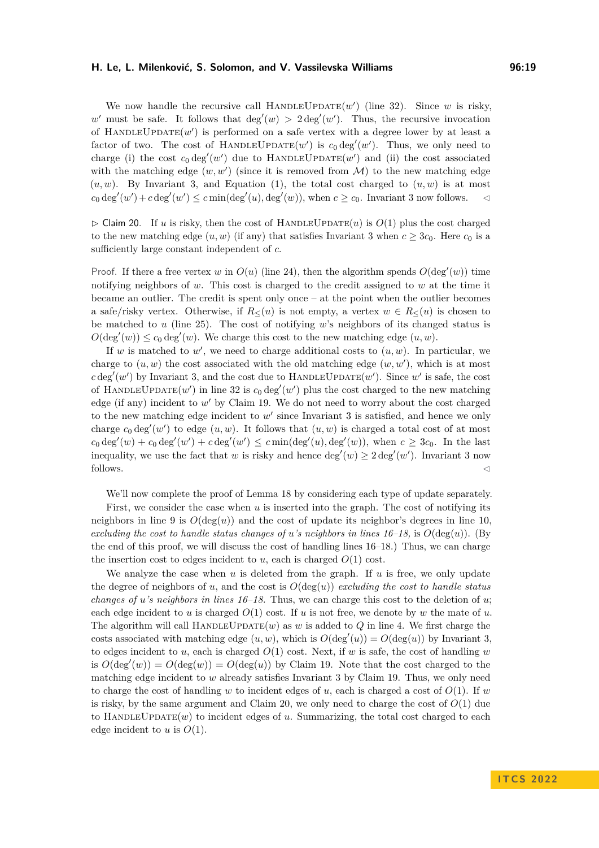We now handle the recursive call HANDLEUPDATE $(w')$  (line [32\)](#page-14-0). Since *w* is risky, w' must be safe. It follows that  $deg'(w) > 2 deg'(w')$ . Thus, the recursive invocation of  $H$ ANDLEUPDATE $(w')$  is performed on a safe vertex with a degree lower by at least a factor of two. The cost of HANDLEUPDATE $(w')$  is  $c_0 \deg'(w')$ . Thus, we only need to charge (i) the cost  $c_0 \deg'(w')$  due to HANDLEUPDATE $(w')$  and (ii) the cost associated with the matching edge  $(w, w')$  (since it is removed from  $\mathcal{M}$ ) to the new matching edge  $(u, w)$ . By Invariant [3,](#page-17-1) and Equation [\(1\)](#page-17-2), the total cost charged to  $(u, w)$  is at most  $c_0 \deg'(w') + c \deg'(w') \leq c \min(\deg'(u), \deg'(w))$ , when  $c \geq c_0$ . Invariant [3](#page-17-1) now follows.  $\lhd$ 

<span id="page-18-0"></span> $\triangleright$  Claim 20. If *u* is risky, then the cost of HANDLEUPDATE(*u*) is  $O(1)$  plus the cost charged to the new matching edge  $(u, w)$  (if any) that satisfies Invariant [3](#page-17-1) when  $c \geq 3c_0$ . Here  $c_0$  is a sufficiently large constant independent of *c*.

Proof. If there a free vertex *w* in  $O(u)$  (line [24\)](#page-14-0), then the algorithm spends  $O(\deg'(w))$  time notifying neighbors of *w*. This cost is charged to the credit assigned to *w* at the time it became an outlier. The credit is spent only once – at the point when the outlier becomes a safe/risky vertex. Otherwise, if  $R_<(u)$  is not empty, a vertex  $w \in R_<(u)$  is chosen to be matched to *u* (line [25\)](#page-14-0). The cost of notifying *w*'s neighbors of its changed status is  $O(\deg'(w)) \leq c_0 \deg'(w)$ . We charge this cost to the new matching edge  $(u, w)$ .

If  $w$  is matched to  $w'$ , we need to charge additional costs to  $(u, w)$ . In particular, we charge to  $(u, w)$  the cost associated with the old matching edge  $(w, w')$ , which is at most  $c \deg'(w')$  by Invariant [3,](#page-17-1) and the cost due to HANDLEUPDATE $(w')$ . Since w' is safe, the cost of HANDLEUPDATE $(w')$  in line [32](#page-14-0) is  $c_0 \deg'(w')$  plus the cost charged to the new matching edge (if any) incident to *w* ′ by Claim [19.](#page-17-0) We do not need to worry about the cost charged to the new matching edge incident to  $w'$  since Invariant [3](#page-17-1) is satisfied, and hence we only charge  $c_0 \deg'(w')$  to edge  $(u, w)$ . It follows that  $(u, w)$  is charged a total cost of at most  $c_0 \deg'(w) + c_0 \deg'(w') + c \deg'(w') \leq c \min(\deg'(u), \deg'(w))$ , when  $c \geq 3c_0$ . In the last inequality, we use the fact that *w* is risky and hence  $deg'(w) \geq 2 \deg'(w')$ . Invariant [3](#page-17-1) now follows.  $\lhd$ 

We'll now complete the proof of Lemma [18](#page-16-0) by considering each type of update separately.

First, we consider the case when *u* is inserted into the graph. The cost of notifying its neighbors in line [9](#page-14-0) is  $O(\deg(u))$  and the cost of update its neighbor's degrees in line [10,](#page-14-0) *excluding the cost to handle status changes of <i>u*'s neighbors in lines  $16-18$ , is  $O(\deg(u))$ . (By the end of this proof, we will discuss the cost of handling lines [16–18.](#page-14-0)) Thus, we can charge the insertion cost to edges incident to  $u$ , each is charged  $O(1)$  cost.

We analyze the case when *u* is deleted from the graph. If *u* is free, we only update the degree of neighbors of *u*, and the cost is  $O(\deg(u))$  *excluding the cost to handle status changes of u's neighbors in lines [16–18.](#page-14-0)* Thus, we can charge this cost to the deletion of *u*; each edge incident to *u* is charged  $O(1)$  cost. If *u* is not free, we denote by *w* the mate of *u*. The algorithm will call  $HANDLEUPDATE(w)$  as *w* is added to *Q* in line [4.](#page-14-0) We first charge the costs associated with matching edge  $(u, w)$ , which is  $O(\deg'(u)) = O(\deg(u))$  by Invariant [3,](#page-17-1) to edges incident to *u*, each is charged  $O(1)$  cost. Next, if *w* is safe, the cost of handling *w* is  $O(\deg'(w)) = O(\deg(w)) = O(\deg(u))$  by Claim [19.](#page-17-0) Note that the cost charged to the matching edge incident to *w* already satisfies Invariant [3](#page-17-1) by Claim [19.](#page-17-0) Thus, we only need to charge the cost of handling *w* to incident edges of *u*, each is charged a cost of  $O(1)$ . If *w* is risky, by the same argument and Claim [20,](#page-18-0) we only need to charge the cost of  $O(1)$  due to  $H$ ANDLEUPDATE $(w)$  to incident edges of *u*. Summarizing, the total cost charged to each edge incident to  $u$  is  $O(1)$ .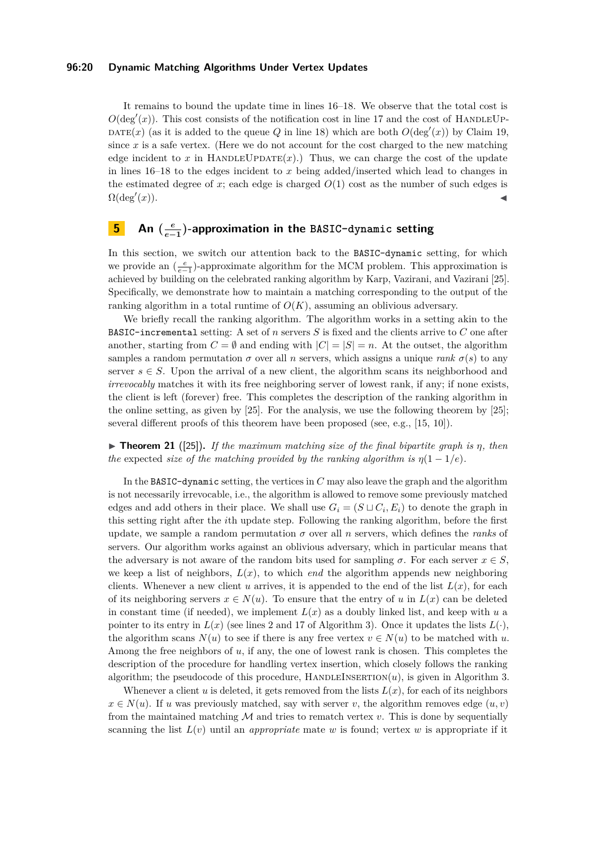### **96:20 Dynamic Matching Algorithms Under Vertex Updates**

It remains to bound the update time in lines [16–18.](#page-14-0) We observe that the total cost is  $O(\deg'(x))$ . This cost consists of the notification cost in line [17](#page-14-0) and the cost of HANDLEUP-DATE(x) (as it is added to the queue Q in line [18\)](#page-14-0) which are both  $O(\deg'(x))$  by Claim [19,](#page-17-0) since *x* is a safe vertex. (Here we do not account for the cost charged to the new matching edge incident to  $x$  in HANDLEUPDATE $(x)$ .) Thus, we can charge the cost of the update in lines [16–18](#page-14-0) to the edges incident to *x* being added/inserted which lead to changes in the estimated degree of  $x$ ; each edge is charged  $O(1)$  cost as the number of such edges is  $\Omega(\deg'(x)).$  $(x).$ 

#### <span id="page-19-0"></span>**5 An (** *e e***−1 )-approximation in the BASIC-dynamic setting**

In this section, we switch our attention back to the BASIC-dynamic setting, for which we provide an  $\left(\frac{e}{e-1}\right)$ -approximate algorithm for the MCM problem. This approximation is achieved by building on the celebrated ranking algorithm by Karp, Vazirani, and Vazirani [\[25\]](#page-22-14). Specifically, we demonstrate how to maintain a matching corresponding to the output of the ranking algorithm in a total runtime of  $O(K)$ , assuming an oblivious adversary.

We briefly recall the ranking algorithm. The algorithm works in a setting akin to the BASIC-incremental setting: A set of *n* servers *S* is fixed and the clients arrive to *C* one after another, starting from  $C = \emptyset$  and ending with  $|C| = |S| = n$ . At the outset, the algorithm samples a random permutation  $\sigma$  over all *n* servers, which assigns a unique *rank*  $\sigma(s)$  to any server  $s \in S$ . Upon the arrival of a new client, the algorithm scans its neighborhood and *irrevocably* matches it with its free neighboring server of lowest rank, if any; if none exists, the client is left (forever) free. This completes the description of the ranking algorithm in the online setting, as given by [\[25\]](#page-22-14). For the analysis, we use the following theorem by [\[25\]](#page-22-14); several different proofs of this theorem have been proposed (see, e.g., [\[15,](#page-22-17) [10\]](#page-22-18)).

<span id="page-19-1"></span> $\triangleright$  **Theorem 21** ([\[25\]](#page-22-14)). *If the maximum matching size of the final bipartite graph is*  $\eta$ *, then the* expected *size of the matching provided by the ranking algorithm is*  $\eta(1-1/e)$ .

In the BASIC-dynamic setting, the vertices in *C* may also leave the graph and the algorithm is not necessarily irrevocable, i.e., the algorithm is allowed to remove some previously matched edges and add others in their place. We shall use  $G_i = (S \sqcup C_i, E_i)$  to denote the graph in this setting right after the *i*th update step. Following the ranking algorithm, before the first update, we sample a random permutation  $\sigma$  over all *n* servers, which defines the *ranks* of servers. Our algorithm works against an oblivious adversary, which in particular means that the adversary is not aware of the random bits used for sampling  $\sigma$ . For each server  $x \in S$ , we keep a list of neighbors,  $L(x)$ , to which *end* the algorithm appends new neighboring clients. Whenever a new client *u* arrives, it is appended to the end of the list  $L(x)$ , for each of its neighboring servers  $x \in N(u)$ . To ensure that the entry of *u* in  $L(x)$  can be deleted in constant time (if needed), we implement  $L(x)$  as a doubly linked list, and keep with  $u$  a pointer to its entry in  $L(x)$  (see lines [2](#page-19-1) and [17](#page-19-1) of Algorithm [3\)](#page-20-0). Once it updates the lists  $L(\cdot)$ , the algorithm scans  $N(u)$  to see if there is any free vertex  $v \in N(u)$  to be matched with *u*. Among the free neighbors of *u*, if any, the one of lowest rank is chosen. This completes the description of the procedure for handling vertex insertion, which closely follows the ranking algorithm; the pseudocode of this procedure, HANDLEINSERTION $(u)$ , is given in Algorithm [3.](#page-20-0)

Whenever a client  $u$  is deleted, it gets removed from the lists  $L(x)$ , for each of its neighbors  $x \in N(u)$ . If *u* was previously matched, say with server *v*, the algorithm removes edge  $(u, v)$ from the maintained matching  $M$  and tries to rematch vertex  $v$ . This is done by sequentially scanning the list  $L(v)$  until an *appropriate* mate *w* is found; vertex *w* is appropriate if it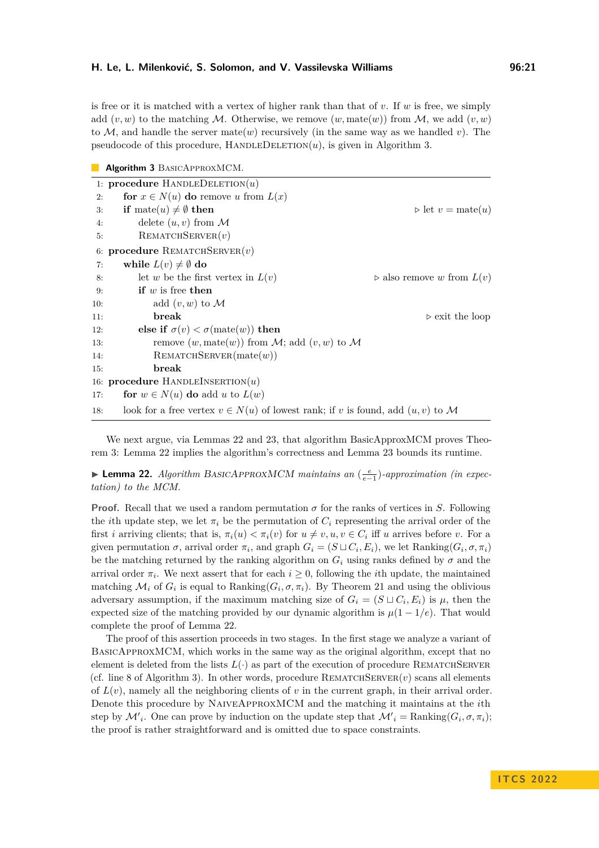is free or it is matched with a vertex of higher rank than that of *v*. If *w* is free, we simply add  $(v, w)$  to the matching M. Otherwise, we remove  $(w, \text{mate}(w))$  from M, we add  $(v, w)$ to M, and handle the server mate(*w*) recursively (in the same way as we handled *v*). The pseudocode of this procedure,  $H$ ANDLEDELETION $(u)$ , is given in Algorithm [3.](#page-20-0)

<span id="page-20-0"></span>

|  |  |  |  | Algorithm 3 BASICAPPROXMCM. |  |
|--|--|--|--|-----------------------------|--|
|--|--|--|--|-----------------------------|--|

|     | 1: procedure HANDLEDELETION $(u)$                                                    |                                           |
|-----|--------------------------------------------------------------------------------------|-------------------------------------------|
| 2:  | for $x \in N(u)$ do remove u from $L(x)$                                             |                                           |
| 3:  | <b>if</b> mate $(u) \neq \emptyset$ then                                             | $\triangleright$ let $v = \text{mate}(u)$ |
| 4:  | delete $(u, v)$ from M                                                               |                                           |
| 5:  | REMATCHSERVER(v)                                                                     |                                           |
|     | 6: procedure REMATCHSERVER $(v)$                                                     |                                           |
| 7:  | while $L(v) \neq \emptyset$ do                                                       |                                           |
| 8:  | let w be the first vertex in $L(v)$                                                  | $\rhd$ also remove w from $L(v)$          |
| 9:  | if $w$ is free then                                                                  |                                           |
| 10: | add $(v, w)$ to M                                                                    |                                           |
| 11: | break                                                                                | $\triangleright$ exit the loop            |
| 12: | else if $\sigma(v) < \sigma(\text{mate}(w))$ then                                    |                                           |
| 13: | remove $(w, \text{mate}(w))$ from M; add $(v, w)$ to M                               |                                           |
| 14: | REMATCHSERVER(mate(w))                                                               |                                           |
| 15: | break                                                                                |                                           |
|     | 16: procedure HANDLEINSERTION $(u)$                                                  |                                           |
| 17: | for $w \in N(u)$ do add u to $L(w)$                                                  |                                           |
| 18: | look for a free vertex $v \in N(u)$ of lowest rank; if v is found, add $(u, v)$ to M |                                           |

We next argue, via Lemmas [22](#page-20-1) and [23,](#page-21-7) that algorithm BasicApproxMCM proves Theorem [3:](#page-5-1) Lemma [22](#page-20-1) implies the algorithm's correctness and Lemma [23](#page-21-7) bounds its runtime.

<span id="page-20-1"></span>▶ **Lemma 22.** *Algorithm BASICAPPROXMCM maintains an*  $\left(\frac{e}{e-1}\right)$ -approximation (in expec*tation) to the MCM.*

**Proof.** Recall that we used a random permutation  $\sigma$  for the ranks of vertices in *S*. Following the *i*th update step, we let  $\pi_i$  be the permutation of  $C_i$  representing the arrival order of the first *i* arriving clients; that is,  $\pi_i(u) < \pi_i(v)$  for  $u \neq v, u, v \in C_i$  iff *u* arrives before *v*. For a given permutation  $\sigma$ , arrival order  $\pi_i$ , and graph  $G_i = (S \sqcup C_i, E_i)$ , we let  $\text{Ranking}(G_i, \sigma, \pi_i)$ be the matching returned by the ranking algorithm on  $G_i$  using ranks defined by  $\sigma$  and the arrival order  $\pi_i$ . We next assert that for each  $i \geq 0$ , following the *i*th update, the maintained matching  $\mathcal{M}_i$  of  $G_i$  is equal to Ranking( $G_i$ ,  $\sigma$ ,  $\pi_i$ ). By Theorem [21](#page-19-1) and using the oblivious adversary assumption, if the maximum matching size of  $G_i = (S \sqcup C_i, E_i)$  is  $\mu$ , then the expected size of the matching provided by our dynamic algorithm is  $\mu(1 - 1/e)$ . That would complete the proof of Lemma [22.](#page-20-1)

The proof of this assertion proceeds in two stages. In the first stage we analyze a variant of BasicApproxMCM, which works in the same way as the original algorithm, except that no element is deleted from the lists  $L(\cdot)$  as part of the execution of procedure REMATCHSERVER (cf. line [8](#page-19-1) of Algorithm [3\)](#page-20-0). In other words, procedure  $REMATCHSERVER$  *(v)* scans all elements of  $L(v)$ , namely all the neighboring clients of *v* in the current graph, in their arrival order. Denote this procedure by NaiveApproxMCM and the matching it maintains at the *i*th step by  $\mathcal{M}'_i$ . One can prove by induction on the update step that  $\mathcal{M}'_i = \text{Ranking}(G_i, \sigma, \pi_i)$ ; the proof is rather straightforward and is omitted due to space constraints.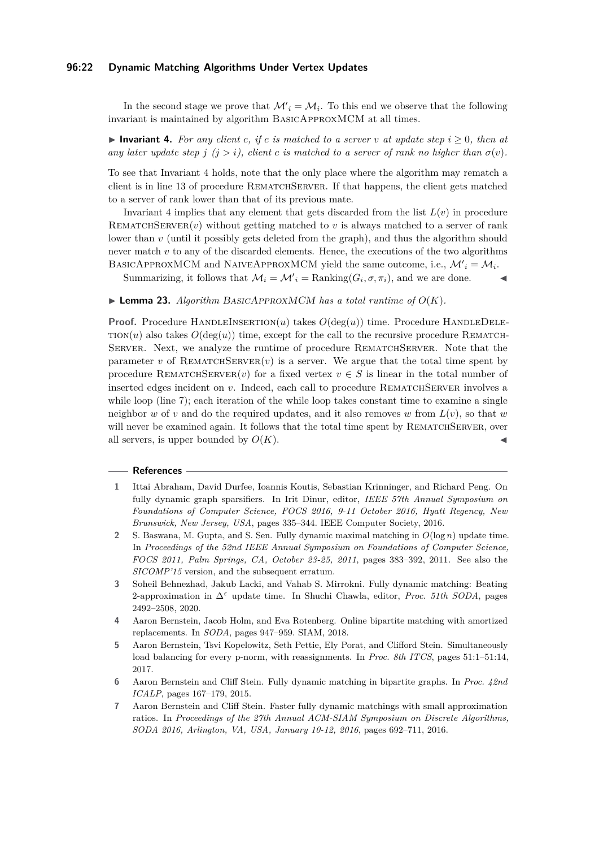### **96:22 Dynamic Matching Algorithms Under Vertex Updates**

In the second stage we prove that  $\mathcal{M}'_i = \mathcal{M}_i$ . To this end we observe that the following invariant is maintained by algorithm BasicApproxMCM at all times.

<span id="page-21-8"></span>▶ **Invariant 4.** *For any client c, if c is matched to a server v at update step*  $i ≥ 0$ *, then at any later update step*  $j$  ( $j > i$ ), client c is matched to a server of rank no higher than  $\sigma(v)$ .

To see that Invariant [4](#page-21-8) holds, note that the only place where the algorithm may rematch a client is in line [13](#page-19-1) of procedure REMATCHSERVER. If that happens, the client gets matched to a server of rank lower than that of its previous mate.

Invariant [4](#page-21-8) implies that any element that gets discarded from the list  $L(v)$  in procedure REMATCHSERVER $(v)$  without getting matched to *v* is always matched to a server of rank lower than *v* (until it possibly gets deleted from the graph), and thus the algorithm should never match *v* to any of the discarded elements. Hence, the executions of the two algorithms BASICAPPROXMCM and NAIVEAPPROXMCM yield the same outcome, i.e.,  $\mathcal{M}'_i = \mathcal{M}_i$ .

Summarizing, it follows that  $\mathcal{M}_i = \mathcal{M}'_i = \text{Ranking}(G_i, \sigma, \pi_i)$ , and we are done.

### <span id="page-21-7"></span> $\blacktriangleright$  **Lemma 23.** *Algorithm BASICAPPROXMCM has a total runtime of*  $O(K)$ *.*

**Proof.** Procedure HANDLEINSERTION(*u*) takes  $O(\deg(u))$  time. Procedure HANDLEDELE- $TION(u)$  also takes  $O(\deg(u))$  time, except for the call to the recursive procedure REMATCH-Server. Next, we analyze the runtime of procedure RematchServer. Note that the parameter *v* of REMATCHSERVER $(v)$  is a server. We argue that the total time spent by procedure REMATCHSERVER $(v)$  for a fixed vertex  $v \in S$  is linear in the total number of inserted edges incident on *v*. Indeed, each call to procedure REMATCHSERVER involves a while loop (line [7\)](#page-19-1); each iteration of the while loop takes constant time to examine a single neighbor *w* of *v* and do the required updates, and it also removes *w* from  $L(v)$ , so that *w* will never be examined again. It follows that the total time spent by REMATCHSERVER, over all servers, is upper bounded by  $O(K)$ .

### **References**

- <span id="page-21-6"></span>**1** Ittai Abraham, David Durfee, Ioannis Koutis, Sebastian Krinninger, and Richard Peng. On fully dynamic graph sparsifiers. In Irit Dinur, editor, *IEEE 57th Annual Symposium on Foundations of Computer Science, FOCS 2016, 9-11 October 2016, Hyatt Regency, New Brunswick, New Jersey, USA*, pages 335–344. IEEE Computer Society, 2016.
- <span id="page-21-0"></span>**2** S. Baswana, M. Gupta, and S. Sen. Fully dynamic maximal matching in *O*(log *n*) update time. In *Proceedings of the 52nd IEEE Annual Symposium on Foundations of Computer Science, FOCS 2011, Palm Springs, CA, October 23-25, 2011*, pages 383–392, 2011. See also the *SICOMP'15* version, and the subsequent erratum.
- <span id="page-21-3"></span>**3** Soheil Behnezhad, Jakub Lacki, and Vahab S. Mirrokni. Fully dynamic matching: Beating 2-approximation in ∆*<sup>ε</sup>* update time. In Shuchi Chawla, editor, *Proc. 51th SODA*, pages 2492–2508, 2020.
- <span id="page-21-4"></span>**4** Aaron Bernstein, Jacob Holm, and Eva Rotenberg. Online bipartite matching with amortized replacements. In *SODA*, pages 947–959. SIAM, 2018.
- <span id="page-21-5"></span>**5** Aaron Bernstein, Tsvi Kopelowitz, Seth Pettie, Ely Porat, and Clifford Stein. Simultaneously load balancing for every p-norm, with reassignments. In *Proc. 8th ITCS*, pages 51:1–51:14, 2017.
- <span id="page-21-1"></span>**6** Aaron Bernstein and Cliff Stein. Fully dynamic matching in bipartite graphs. In *Proc. 42nd ICALP*, pages 167–179, 2015.
- <span id="page-21-2"></span>**7** Aaron Bernstein and Cliff Stein. Faster fully dynamic matchings with small approximation ratios. In *Proceedings of the 27th Annual ACM-SIAM Symposium on Discrete Algorithms, SODA 2016, Arlington, VA, USA, January 10-12, 2016*, pages 692–711, 2016.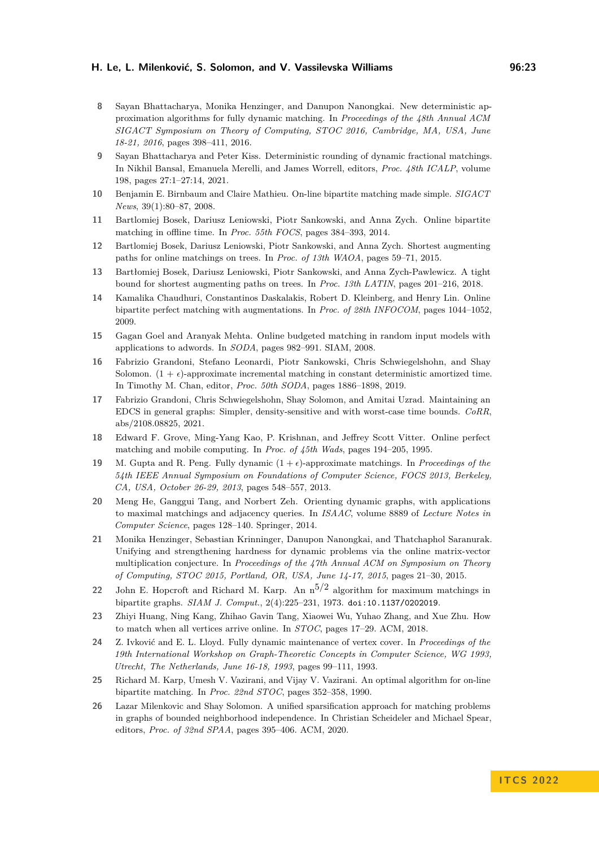- <span id="page-22-4"></span>**8** Sayan Bhattacharya, Monika Henzinger, and Danupon Nanongkai. New deterministic approximation algorithms for fully dynamic matching. In *Proceedings of the 48th Annual ACM SIGACT Symposium on Theory of Computing, STOC 2016, Cambridge, MA, USA, June 18-21, 2016*, pages 398–411, 2016.
- <span id="page-22-5"></span>**9** Sayan Bhattacharya and Peter Kiss. Deterministic rounding of dynamic fractional matchings. In Nikhil Bansal, Emanuela Merelli, and James Worrell, editors, *Proc. 48th ICALP*, volume 198, pages 27:1–27:14, 2021.
- <span id="page-22-18"></span>**10** Benjamin E. Birnbaum and Claire Mathieu. On-line bipartite matching made simple. *SIGACT News*, 39(1):80–87, 2008.
- <span id="page-22-8"></span>**11** Bartlomiej Bosek, Dariusz Leniowski, Piotr Sankowski, and Anna Zych. Online bipartite matching in offline time. In *Proc. 55th FOCS*, pages 384–393, 2014.
- <span id="page-22-12"></span>**12** Bartlomiej Bosek, Dariusz Leniowski, Piotr Sankowski, and Anna Zych. Shortest augmenting paths for online matchings on trees. In *Proc. of 13th WAOA*, pages 59–71, 2015.
- <span id="page-22-13"></span>**13** Bartłomiej Bosek, Dariusz Leniowski, Piotr Sankowski, and Anna Zych-Pawlewicz. A tight bound for shortest augmenting paths on trees. In *Proc. 13th LATIN*, pages 201–216, 2018.
- <span id="page-22-11"></span>**14** Kamalika Chaudhuri, Constantinos Daskalakis, Robert D. Kleinberg, and Henry Lin. Online bipartite perfect matching with augmentations. In *Proc. of 28th INFOCOM*, pages 1044–1052, 2009.
- <span id="page-22-17"></span>**15** Gagan Goel and Aranyak Mehta. Online budgeted matching in random input models with applications to adwords. In *SODA*, pages 982–991. SIAM, 2008.
- <span id="page-22-7"></span>**16** Fabrizio Grandoni, Stefano Leonardi, Piotr Sankowski, Chris Schwiegelshohn, and Shay Solomon.  $(1 + \epsilon)$ -approximate incremental matching in constant deterministic amortized time. In Timothy M. Chan, editor, *Proc. 50th SODA*, pages 1886–1898, 2019.
- <span id="page-22-3"></span>**17** Fabrizio Grandoni, Chris Schwiegelshohn, Shay Solomon, and Amitai Uzrad. Maintaining an EDCS in general graphs: Simpler, density-sensitive and with worst-case time bounds. *CoRR*, abs/2108.08825, 2021.
- <span id="page-22-10"></span>**18** Edward F. Grove, Ming-Yang Kao, P. Krishnan, and Jeffrey Scott Vitter. Online perfect matching and mobile computing. In *Proc. of 45th Wads*, pages 194–205, 1995.
- <span id="page-22-2"></span>**19** M. Gupta and R. Peng. Fully dynamic  $(1 + \epsilon)$ -approximate matchings. In *Proceedings of the 54th IEEE Annual Symposium on Foundations of Computer Science, FOCS 2013, Berkeley, CA, USA, October 26-29, 2013*, pages 548–557, 2013.
- <span id="page-22-1"></span>**20** Meng He, Ganggui Tang, and Norbert Zeh. Orienting dynamic graphs, with applications to maximal matchings and adjacency queries. In *ISAAC*, volume 8889 of *Lecture Notes in Computer Science*, pages 128–140. Springer, 2014.
- <span id="page-22-16"></span>**21** Monika Henzinger, Sebastian Krinninger, Danupon Nanongkai, and Thatchaphol Saranurak. Unifying and strengthening hardness for dynamic problems via the online matrix-vector multiplication conjecture. In *Proceedings of the 47th Annual ACM on Symposium on Theory of Computing, STOC 2015, Portland, OR, USA, June 14-17, 2015*, pages 21–30, 2015.
- <span id="page-22-9"></span>**22** John E. Hopcroft and Richard M. Karp. An  $n^{5/2}$  algorithm for maximum matchings in bipartite graphs. *SIAM J. Comput.*, 2(4):225–231, 1973. [doi:10.1137/0202019](https://doi.org/10.1137/0202019).
- <span id="page-22-15"></span>**23** Zhiyi Huang, Ning Kang, Zhihao Gavin Tang, Xiaowei Wu, Yuhao Zhang, and Xue Zhu. How to match when all vertices arrive online. In *STOC*, pages 17–29. ACM, 2018.
- <span id="page-22-0"></span>**24** Z. Ivković and E. L. Lloyd. Fully dynamic maintenance of vertex cover. In *Proceedings of the 19th International Workshop on Graph-Theoretic Concepts in Computer Science, WG 1993, Utrecht, The Netherlands, June 16-18, 1993*, pages 99–111, 1993.
- <span id="page-22-14"></span>**25** Richard M. Karp, Umesh V. Vazirani, and Vijay V. Vazirani. An optimal algorithm for on-line bipartite matching. In *Proc. 22nd STOC*, pages 352–358, 1990.
- <span id="page-22-6"></span>**26** Lazar Milenkovic and Shay Solomon. A unified sparsification approach for matching problems in graphs of bounded neighborhood independence. In Christian Scheideler and Michael Spear, editors, *Proc. of 32nd SPAA*, pages 395–406. ACM, 2020.